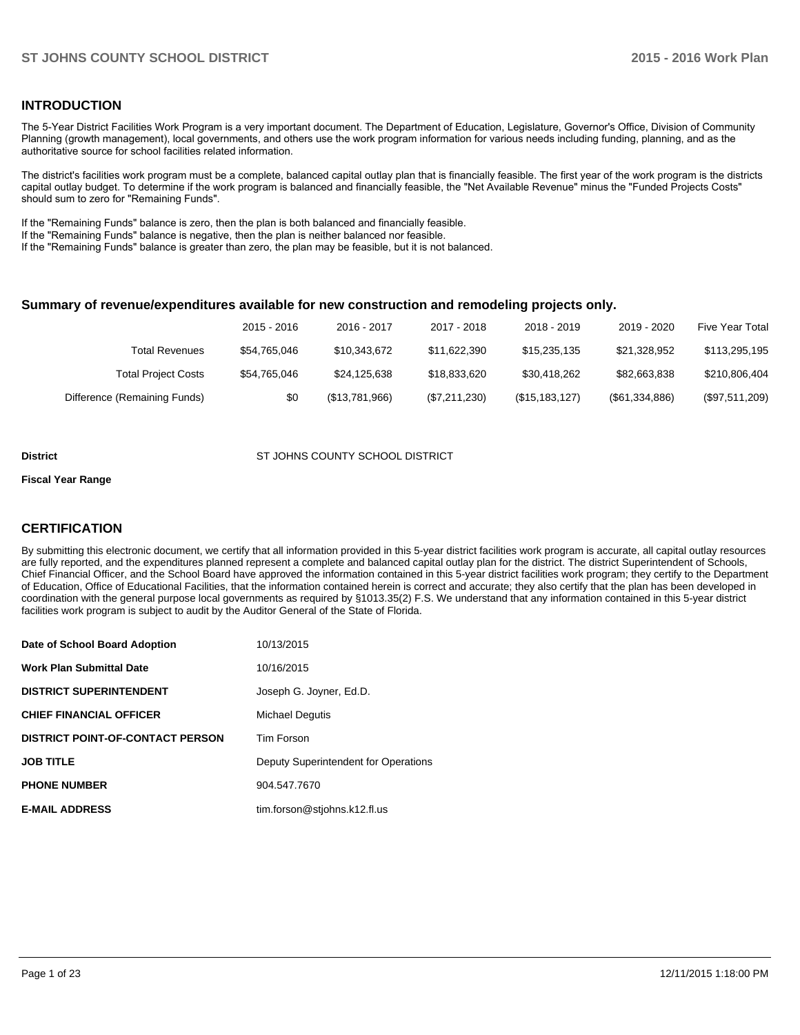## **INTRODUCTION**

The 5-Year District Facilities Work Program is a very important document. The Department of Education, Legislature, Governor's Office, Division of Community Planning (growth management), local governments, and others use the work program information for various needs including funding, planning, and as the authoritative source for school facilities related information.

The district's facilities work program must be a complete, balanced capital outlay plan that is financially feasible. The first year of the work program is the districts capital outlay budget. To determine if the work program is balanced and financially feasible, the "Net Available Revenue" minus the "Funded Projects Costs" should sum to zero for "Remaining Funds".

If the "Remaining Funds" balance is zero, then the plan is both balanced and financially feasible.

If the "Remaining Funds" balance is negative, then the plan is neither balanced nor feasible.

If the "Remaining Funds" balance is greater than zero, the plan may be feasible, but it is not balanced.

### **Summary of revenue/expenditures available for new construction and remodeling projects only.**

|                              | 2015 - 2016  | 2016 - 2017    | 2017 - 2018   | 2018 - 2019      | 2019 - 2020     | Five Year Total  |
|------------------------------|--------------|----------------|---------------|------------------|-----------------|------------------|
| <b>Total Revenues</b>        | \$54.765.046 | \$10,343,672   | \$11.622.390  | \$15,235,135     | \$21,328,952    | \$113,295,195    |
| <b>Total Project Costs</b>   | \$54,765,046 | \$24.125.638   | \$18,833,620  | \$30.418.262     | \$82,663,838    | \$210,806,404    |
| Difference (Remaining Funds) | \$0          | (\$13,781,966) | (\$7,211,230) | (\$15, 183, 127) | (S61, 334, 886) | $(\$97,511,209)$ |

#### **District COUNTY SCHOOL DISTRICT** ST JOHNS COUNTY SCHOOL DISTRICT

#### **Fiscal Year Range**

# **CERTIFICATION**

By submitting this electronic document, we certify that all information provided in this 5-year district facilities work program is accurate, all capital outlay resources are fully reported, and the expenditures planned represent a complete and balanced capital outlay plan for the district. The district Superintendent of Schools, Chief Financial Officer, and the School Board have approved the information contained in this 5-year district facilities work program; they certify to the Department of Education, Office of Educational Facilities, that the information contained herein is correct and accurate; they also certify that the plan has been developed in coordination with the general purpose local governments as required by §1013.35(2) F.S. We understand that any information contained in this 5-year district facilities work program is subject to audit by the Auditor General of the State of Florida.

| Date of School Board Adoption           | 10/13/2015                           |
|-----------------------------------------|--------------------------------------|
| <b>Work Plan Submittal Date</b>         | 10/16/2015                           |
| <b>DISTRICT SUPERINTENDENT</b>          | Joseph G. Joyner, Ed.D.              |
| <b>CHIEF FINANCIAL OFFICER</b>          | <b>Michael Dequtis</b>               |
| <b>DISTRICT POINT-OF-CONTACT PERSON</b> | <b>Tim Forson</b>                    |
| <b>JOB TITLE</b>                        | Deputy Superintendent for Operations |
| <b>PHONE NUMBER</b>                     | 904.547.7670                         |
| <b>E-MAIL ADDRESS</b>                   | tim.forson@stjohns.k12.fl.us         |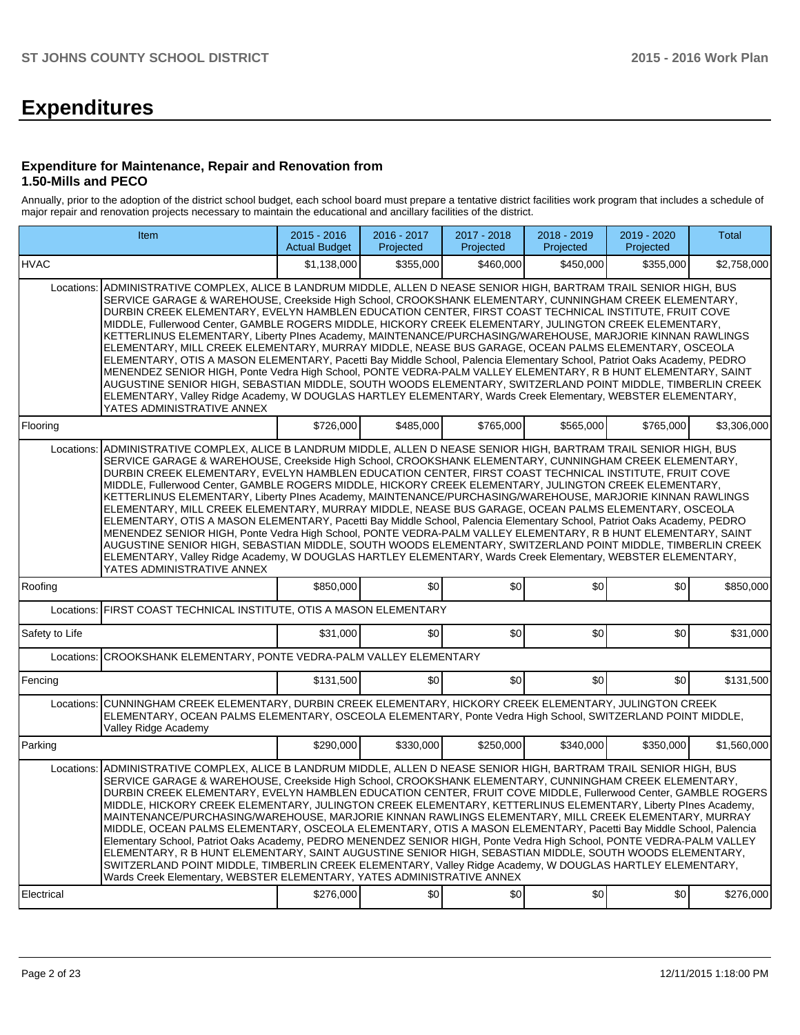# **Expenditures**

### **Expenditure for Maintenance, Repair and Renovation from 1.50-Mills and PECO**

Annually, prior to the adoption of the district school budget, each school board must prepare a tentative district facilities work program that includes a schedule of major repair and renovation projects necessary to maintain the educational and ancillary facilities of the district.

|                          | Item                                                                                                                                                                                                                                                                                                                                                                                                                                                                                                                                                                                                                                                                                                                                                                                                                                                                                                                                                                                                                                                                                                                                                              | $2015 - 2016$<br><b>Actual Budget</b> | 2016 - 2017<br>Projected | 2017 - 2018<br>Projected | $2018 - 2019$<br>Projected | 2019 - 2020<br>Projected | <b>Total</b> |
|--------------------------|-------------------------------------------------------------------------------------------------------------------------------------------------------------------------------------------------------------------------------------------------------------------------------------------------------------------------------------------------------------------------------------------------------------------------------------------------------------------------------------------------------------------------------------------------------------------------------------------------------------------------------------------------------------------------------------------------------------------------------------------------------------------------------------------------------------------------------------------------------------------------------------------------------------------------------------------------------------------------------------------------------------------------------------------------------------------------------------------------------------------------------------------------------------------|---------------------------------------|--------------------------|--------------------------|----------------------------|--------------------------|--------------|
| <b>HVAC</b>              |                                                                                                                                                                                                                                                                                                                                                                                                                                                                                                                                                                                                                                                                                                                                                                                                                                                                                                                                                                                                                                                                                                                                                                   | \$1.138.000                           | \$355,000                | \$460,000                | \$450.000                  | \$355,000                | \$2,758,000  |
| Locations:               | ADMINISTRATIVE COMPLEX, ALICE B LANDRUM MIDDLE, ALLEN D NEASE SENIOR HIGH, BARTRAM TRAIL SENIOR HIGH, BUS<br>SERVICE GARAGE & WAREHOUSE, Creekside High School, CROOKSHANK ELEMENTARY, CUNNINGHAM CREEK ELEMENTARY,<br>DURBIN CREEK ELEMENTARY, EVELYN HAMBLEN EDUCATION CENTER, FIRST COAST TECHNICAL INSTITUTE, FRUIT COVE<br>MIDDLE, Fullerwood Center, GAMBLE ROGERS MIDDLE, HICKORY CREEK ELEMENTARY, JULINGTON CREEK ELEMENTARY,<br>KETTERLINUS ELEMENTARY, Liberty Plnes Academy, MAINTENANCE/PURCHASING/WAREHOUSE, MARJORIE KINNAN RAWLINGS<br>ELEMENTARY, MILL CREEK ELEMENTARY, MURRAY MIDDLE, NEASE BUS GARAGE, OCEAN PALMS ELEMENTARY, OSCEOLA<br>ELEMENTARY, OTIS A MASON ELEMENTARY, Pacetti Bay Middle School, Palencia Elementary School, Patriot Oaks Academy, PEDRO<br>MENENDEZ SENIOR HIGH, Ponte Vedra High School, PONTE VEDRA-PALM VALLEY ELEMENTARY, R B HUNT ELEMENTARY, SAINT<br>AUGUSTINE SENIOR HIGH, SEBASTIAN MIDDLE, SOUTH WOODS ELEMENTARY, SWITZERLAND POINT MIDDLE, TIMBERLIN CREEK<br>ELEMENTARY, Valley Ridge Academy, W DOUGLAS HARTLEY ELEMENTARY, Wards Creek Elementary, WEBSTER ELEMENTARY,<br>YATES ADMINISTRATIVE ANNEX |                                       |                          |                          |                            |                          |              |
| Flooring                 |                                                                                                                                                                                                                                                                                                                                                                                                                                                                                                                                                                                                                                                                                                                                                                                                                                                                                                                                                                                                                                                                                                                                                                   | \$726.000                             | \$485.000                | \$765.000                | \$565.000                  | \$765,000                | \$3.306.000  |
| Locations:               | ADMINISTRATIVE COMPLEX, ALICE B LANDRUM MIDDLE, ALLEN D NEASE SENIOR HIGH, BARTRAM TRAIL SENIOR HIGH, BUS<br>SERVICE GARAGE & WAREHOUSE, Creekside High School, CROOKSHANK ELEMENTARY, CUNNINGHAM CREEK ELEMENTARY,<br>DURBIN CREEK ELEMENTARY, EVELYN HAMBLEN EDUCATION CENTER, FIRST COAST TECHNICAL INSTITUTE, FRUIT COVE<br>MIDDLE, Fullerwood Center, GAMBLE ROGERS MIDDLE, HICKORY CREEK ELEMENTARY, JULINGTON CREEK ELEMENTARY,<br>KETTERLINUS ELEMENTARY, Liberty PInes Academy, MAINTENANCE/PURCHASING/WAREHOUSE, MARJORIE KINNAN RAWLINGS<br>ELEMENTARY, MILL CREEK ELEMENTARY, MURRAY MIDDLE, NEASE BUS GARAGE, OCEAN PALMS ELEMENTARY, OSCEOLA<br>ELEMENTARY, OTIS A MASON ELEMENTARY, Pacetti Bay Middle School, Palencia Elementary School, Patriot Oaks Academy, PEDRO<br>MENENDEZ SENIOR HIGH, Ponte Vedra High School, PONTE VEDRA-PALM VALLEY ELEMENTARY, R B HUNT ELEMENTARY, SAINT<br>AUGUSTINE SENIOR HIGH, SEBASTIAN MIDDLE, SOUTH WOODS ELEMENTARY, SWITZERLAND POINT MIDDLE, TIMBERLIN CREEK<br>ELEMENTARY, Valley Ridge Academy, W DOUGLAS HARTLEY ELEMENTARY, Wards Creek Elementary, WEBSTER ELEMENTARY,<br>YATES ADMINISTRATIVE ANNEX |                                       |                          |                          |                            |                          |              |
| Roofing                  |                                                                                                                                                                                                                                                                                                                                                                                                                                                                                                                                                                                                                                                                                                                                                                                                                                                                                                                                                                                                                                                                                                                                                                   | \$850,000                             | \$0                      | \$0                      | \$0                        | \$0                      | \$850,000    |
| Locations:               | FIRST COAST TECHNICAL INSTITUTE, OTIS A MASON ELEMENTARY                                                                                                                                                                                                                                                                                                                                                                                                                                                                                                                                                                                                                                                                                                                                                                                                                                                                                                                                                                                                                                                                                                          |                                       |                          |                          |                            |                          |              |
| Safety to Life           |                                                                                                                                                                                                                                                                                                                                                                                                                                                                                                                                                                                                                                                                                                                                                                                                                                                                                                                                                                                                                                                                                                                                                                   | \$31,000                              | \$0                      | \$0                      | \$0                        | \$0                      | \$31,000     |
| Locations:               | CROOKSHANK ELEMENTARY, PONTE VEDRA-PALM VALLEY ELEMENTARY                                                                                                                                                                                                                                                                                                                                                                                                                                                                                                                                                                                                                                                                                                                                                                                                                                                                                                                                                                                                                                                                                                         |                                       |                          |                          |                            |                          |              |
| Fencing                  |                                                                                                                                                                                                                                                                                                                                                                                                                                                                                                                                                                                                                                                                                                                                                                                                                                                                                                                                                                                                                                                                                                                                                                   | \$131,500                             | \$0                      | \$0                      | \$0                        | \$0                      | \$131,500    |
| Locations:               | CUNNINGHAM CREEK ELEMENTARY, DURBIN CREEK ELEMENTARY, HICKORY CREEK ELEMENTARY, JULINGTON CREEK<br>ELEMENTARY, OCEAN PALMS ELEMENTARY, OSCEOLA ELEMENTARY, Ponte Vedra High School, SWITZERLAND POINT MIDDLE,<br>Valley Ridge Academy                                                                                                                                                                                                                                                                                                                                                                                                                                                                                                                                                                                                                                                                                                                                                                                                                                                                                                                             |                                       |                          |                          |                            |                          |              |
| Parking                  |                                                                                                                                                                                                                                                                                                                                                                                                                                                                                                                                                                                                                                                                                                                                                                                                                                                                                                                                                                                                                                                                                                                                                                   | \$290,000                             | \$330,000                | \$250,000                | \$340,000                  | \$350,000                | \$1,560,000  |
| Locations:<br>Electrical | ADMINISTRATIVE COMPLEX, ALICE B LANDRUM MIDDLE, ALLEN D NEASE SENIOR HIGH, BARTRAM TRAIL SENIOR HIGH, BUS<br>SERVICE GARAGE & WAREHOUSE, Creekside High School, CROOKSHANK ELEMENTARY, CUNNINGHAM CREEK ELEMENTARY,<br>DURBIN CREEK ELEMENTARY, EVELYN HAMBLEN EDUCATION CENTER, FRUIT COVE MIDDLE, Fullerwood Center, GAMBLE ROGERS<br>MIDDLE, HICKORY CREEK ELEMENTARY, JULINGTON CREEK ELEMENTARY, KETTERLINUS ELEMENTARY, Liberty Plnes Academy,<br>MAINTENANCE/PURCHASING/WAREHOUSE, MARJORIE KINNAN RAWLINGS ELEMENTARY, MILL CREEK ELEMENTARY, MURRAY<br>MIDDLE, OCEAN PALMS ELEMENTARY, OSCEOLA ELEMENTARY, OTIS A MASON ELEMENTARY, Pacetti Bay Middle School, Palencia<br>Elementary School, Patriot Oaks Academy, PEDRO MENENDEZ SENIOR HIGH, Ponte Vedra High School, PONTE VEDRA-PALM VALLEY<br>ELEMENTARY, R B HUNT ELEMENTARY, SAINT AUGUSTINE SENIOR HIGH, SEBASTIAN MIDDLE, SOUTH WOODS ELEMENTARY,<br>SWITZERLAND POINT MIDDLE, TIMBERLIN CREEK ELEMENTARY, Valley Ridge Academy, W DOUGLAS HARTLEY ELEMENTARY,<br>Wards Creek Elementary, WEBSTER ELEMENTARY, YATES ADMINISTRATIVE ANNEX                                                       | \$276,000                             | \$0                      | \$0                      | \$0                        | \$0                      | \$276,000    |
|                          |                                                                                                                                                                                                                                                                                                                                                                                                                                                                                                                                                                                                                                                                                                                                                                                                                                                                                                                                                                                                                                                                                                                                                                   |                                       |                          |                          |                            |                          |              |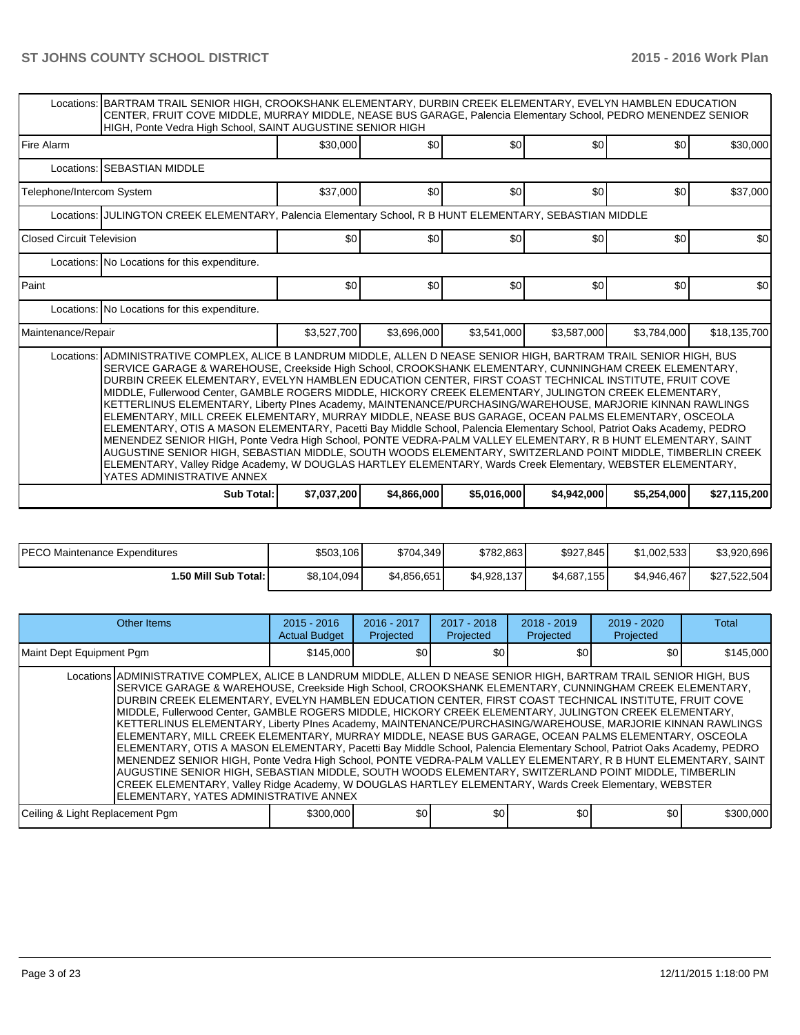|                                  | Locations: BARTRAM TRAIL SENIOR HIGH, CROOKSHANK ELEMENTARY, DURBIN CREEK ELEMENTARY, EVELYN HAMBLEN EDUCATION<br>CENTER, FRUIT COVE MIDDLE, MURRAY MIDDLE, NEASE BUS GARAGE, Palencia Elementary School, PEDRO MENENDEZ SENIOR<br>HIGH, Ponte Vedra High School, SAINT AUGUSTINE SENIOR HIGH                                                                                                                                                                                                                                                                                                                                                                                                                                                                                                                                                                                                                                                                                                                                                                                                                                                                                |             |             |             |             |             |              |  |  |  |  |
|----------------------------------|------------------------------------------------------------------------------------------------------------------------------------------------------------------------------------------------------------------------------------------------------------------------------------------------------------------------------------------------------------------------------------------------------------------------------------------------------------------------------------------------------------------------------------------------------------------------------------------------------------------------------------------------------------------------------------------------------------------------------------------------------------------------------------------------------------------------------------------------------------------------------------------------------------------------------------------------------------------------------------------------------------------------------------------------------------------------------------------------------------------------------------------------------------------------------|-------------|-------------|-------------|-------------|-------------|--------------|--|--|--|--|
| <b>Fire Alarm</b>                |                                                                                                                                                                                                                                                                                                                                                                                                                                                                                                                                                                                                                                                                                                                                                                                                                                                                                                                                                                                                                                                                                                                                                                              | \$30,000    | \$0         | \$0         | \$0         | \$0         | \$30,000     |  |  |  |  |
|                                  | Locations: ISEBASTIAN MIDDLE                                                                                                                                                                                                                                                                                                                                                                                                                                                                                                                                                                                                                                                                                                                                                                                                                                                                                                                                                                                                                                                                                                                                                 |             |             |             |             |             |              |  |  |  |  |
| Telephone/Intercom System        |                                                                                                                                                                                                                                                                                                                                                                                                                                                                                                                                                                                                                                                                                                                                                                                                                                                                                                                                                                                                                                                                                                                                                                              | \$37,000    | \$0         | \$0         | \$0         | \$0         | \$37,000     |  |  |  |  |
|                                  | Locations: JULINGTON CREEK ELEMENTARY, Palencia Elementary School, R B HUNT ELEMENTARY, SEBASTIAN MIDDLE                                                                                                                                                                                                                                                                                                                                                                                                                                                                                                                                                                                                                                                                                                                                                                                                                                                                                                                                                                                                                                                                     |             |             |             |             |             |              |  |  |  |  |
| <b>Closed Circuit Television</b> |                                                                                                                                                                                                                                                                                                                                                                                                                                                                                                                                                                                                                                                                                                                                                                                                                                                                                                                                                                                                                                                                                                                                                                              | \$0         | \$0         | \$0         | \$0         | \$0         | \$0          |  |  |  |  |
|                                  | Locations: No Locations for this expenditure.                                                                                                                                                                                                                                                                                                                                                                                                                                                                                                                                                                                                                                                                                                                                                                                                                                                                                                                                                                                                                                                                                                                                |             |             |             |             |             |              |  |  |  |  |
| Paint                            |                                                                                                                                                                                                                                                                                                                                                                                                                                                                                                                                                                                                                                                                                                                                                                                                                                                                                                                                                                                                                                                                                                                                                                              | \$0         | \$0         | \$0         | \$0         | \$0         | \$0          |  |  |  |  |
|                                  | Locations: No Locations for this expenditure.                                                                                                                                                                                                                                                                                                                                                                                                                                                                                                                                                                                                                                                                                                                                                                                                                                                                                                                                                                                                                                                                                                                                |             |             |             |             |             |              |  |  |  |  |
| Maintenance/Repair               |                                                                                                                                                                                                                                                                                                                                                                                                                                                                                                                                                                                                                                                                                                                                                                                                                                                                                                                                                                                                                                                                                                                                                                              | \$3,527,700 | \$3,696,000 | \$3.541.000 | \$3,587,000 | \$3,784,000 | \$18,135,700 |  |  |  |  |
|                                  | Locations: ADMINISTRATIVE COMPLEX, ALICE B LANDRUM MIDDLE, ALLEN D NEASE SENIOR HIGH, BARTRAM TRAIL SENIOR HIGH, BUS<br>SERVICE GARAGE & WAREHOUSE, Creekside High School, CROOKSHANK ELEMENTARY, CUNNINGHAM CREEK ELEMENTARY,<br>DURBIN CREEK ELEMENTARY, EVELYN HAMBLEN EDUCATION CENTER, FIRST COAST TECHNICAL INSTITUTE, FRUIT COVE<br>MIDDLE, Fullerwood Center, GAMBLE ROGERS MIDDLE, HICKORY CREEK ELEMENTARY, JULINGTON CREEK ELEMENTARY,<br>KETTERLINUS ELEMENTARY, Liberty PInes Academy, MAINTENANCE/PURCHASING/WAREHOUSE, MARJORIE KINNAN RAWLINGS<br>ELEMENTARY, MILL CREEK ELEMENTARY, MURRAY MIDDLE, NEASE BUS GARAGE, OCEAN PALMS ELEMENTARY, OSCEOLA<br>ELEMENTARY, OTIS A MASON ELEMENTARY, Pacetti Bay Middle School, Palencia Elementary School, Patriot Oaks Academy, PEDRO<br>MENENDEZ SENIOR HIGH, Ponte Vedra High School, PONTE VEDRA-PALM VALLEY ELEMENTARY, R B HUNT ELEMENTARY, SAINT<br>AUGUSTINE SENIOR HIGH, SEBASTIAN MIDDLE, SOUTH WOODS ELEMENTARY, SWITZERLAND POINT MIDDLE, TIMBERLIN CREEK<br>ELEMENTARY, Valley Ridge Academy, W DOUGLAS HARTLEY ELEMENTARY, Wards Creek Elementary, WEBSTER ELEMENTARY,<br>YATES ADMINISTRATIVE ANNEX |             |             |             |             |             |              |  |  |  |  |
|                                  | Sub Total:                                                                                                                                                                                                                                                                                                                                                                                                                                                                                                                                                                                                                                                                                                                                                                                                                                                                                                                                                                                                                                                                                                                                                                   | \$7,037,200 | \$4,866,000 | \$5,016,000 | \$4.942,000 | \$5.254,000 | \$27,115,200 |  |  |  |  |

| <b>IPECO Maintenance Expenditures</b> | \$503,106   | \$704.349   | \$782,863   | \$927,845   | \$1.002.533 | \$3,920,696  |
|---------------------------------------|-------------|-------------|-------------|-------------|-------------|--------------|
| 1.50 Mill Sub Total:                  | \$8,104,094 | \$4.856.651 | \$4.928.137 | \$4,687,155 | \$4.946.467 | \$27.522.504 |

| Other Items                                                                                                                                                                                                                                                                                                                                                                                                                                                                                                                                                                                                                                                                                                                                                                                                                                                                                                                                                                                                                                                                                                                                                                   | $2015 - 2016$<br><b>Actual Budget</b> | $2016 - 2017$<br>Projected | $2017 - 2018$<br>Projected | $2018 - 2019$<br>Projected | $2019 - 2020$<br>Projected | Total     |
|-------------------------------------------------------------------------------------------------------------------------------------------------------------------------------------------------------------------------------------------------------------------------------------------------------------------------------------------------------------------------------------------------------------------------------------------------------------------------------------------------------------------------------------------------------------------------------------------------------------------------------------------------------------------------------------------------------------------------------------------------------------------------------------------------------------------------------------------------------------------------------------------------------------------------------------------------------------------------------------------------------------------------------------------------------------------------------------------------------------------------------------------------------------------------------|---------------------------------------|----------------------------|----------------------------|----------------------------|----------------------------|-----------|
| Maint Dept Equipment Pgm                                                                                                                                                                                                                                                                                                                                                                                                                                                                                                                                                                                                                                                                                                                                                                                                                                                                                                                                                                                                                                                                                                                                                      | \$145,000                             | \$0                        | \$0                        | \$0                        | \$0                        | \$145,000 |
| Locations ADMINISTRATIVE COMPLEX, ALICE B LANDRUM MIDDLE, ALLEN D NEASE SENIOR HIGH, BARTRAM TRAIL SENIOR HIGH, BUS<br>SERVICE GARAGE & WAREHOUSE, Creekside High School, CROOKSHANK ELEMENTARY, CUNNINGHAM CREEK ELEMENTARY,<br>IDURBIN CREEK ELEMENTARY. EVELYN HAMBLEN EDUCATION CENTER. FIRST COAST TECHNICAL INSTITUTE. FRUIT COVE<br>MIDDLE, Fullerwood Center, GAMBLE ROGERS MIDDLE, HICKORY CREEK ELEMENTARY, JULINGTON CREEK ELEMENTARY,<br>KETTERLINUS ELEMENTARY, Liberty PInes Academy, MAINTENANCE/PURCHASING/WAREHOUSE, MARJORIE KINNAN RAWLINGS<br>ELEMENTARY, MILL CREEK ELEMENTARY, MURRAY MIDDLE, NEASE BUS GARAGE, OCEAN PALMS ELEMENTARY, OSCEOLA<br>ELEMENTARY, OTIS A MASON ELEMENTARY, Pacetti Bay Middle School, Palencia Elementary School, Patriot Oaks Academy, PEDRO<br>MENENDEZ SENIOR HIGH, Ponte Vedra High School, PONTE VEDRA-PALM VALLEY ELEMENTARY, R B HUNT ELEMENTARY, SAINT<br>AUGUSTINE SENIOR HIGH, SEBASTIAN MIDDLE, SOUTH WOODS ELEMENTARY, SWITZERLAND POINT MIDDLE, TIMBERLIN<br>CREEK ELEMENTARY, Valley Ridge Academy, W DOUGLAS HARTLEY ELEMENTARY, Wards Creek Elementary, WEBSTER<br>IELEMENTARY. YATES ADMINISTRATIVE ANNEX |                                       |                            |                            |                            |                            |           |
| Ceiling & Light Replacement Pgm                                                                                                                                                                                                                                                                                                                                                                                                                                                                                                                                                                                                                                                                                                                                                                                                                                                                                                                                                                                                                                                                                                                                               | \$300,000                             | \$0                        | \$0                        | \$0                        | \$0                        | \$300,000 |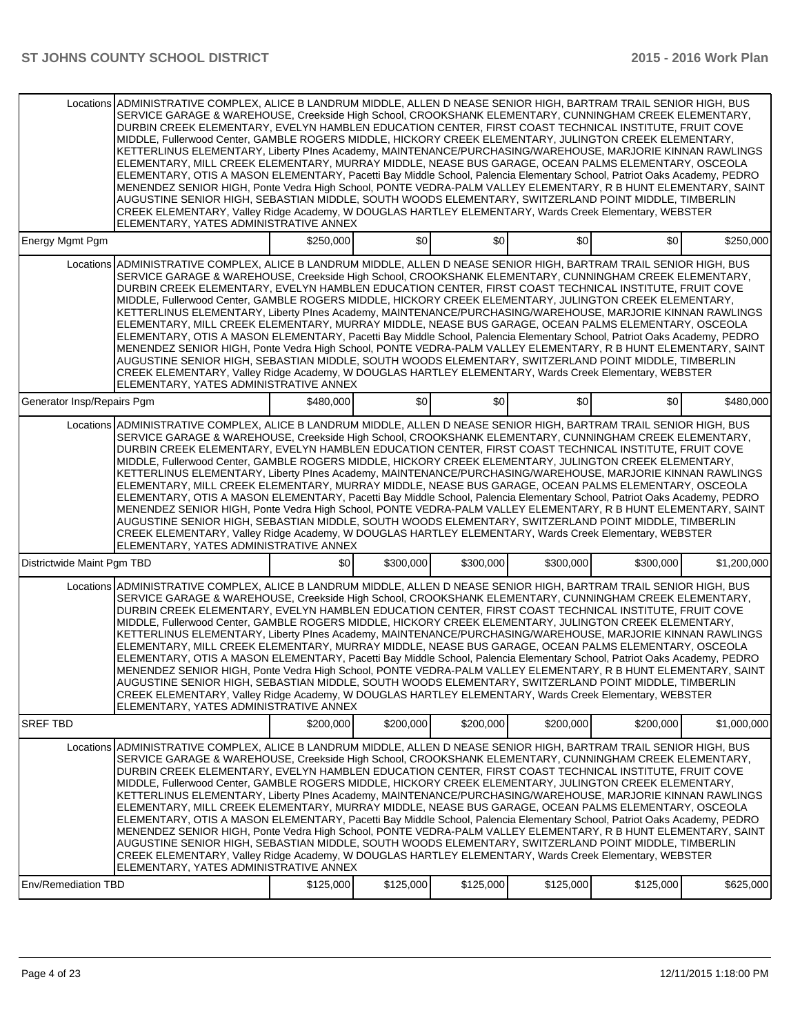|                            | Locations ADMINISTRATIVE COMPLEX, ALICE B LANDRUM MIDDLE, ALLEN D NEASE SENIOR HIGH, BARTRAM TRAIL SENIOR HIGH, BUS<br>SERVICE GARAGE & WAREHOUSE, Creekside High School, CROOKSHANK ELEMENTARY, CUNNINGHAM CREEK ELEMENTARY,<br>DURBIN CREEK ELEMENTARY, EVELYN HAMBLEN EDUCATION CENTER, FIRST COAST TECHNICAL INSTITUTE, FRUIT COVE<br>MIDDLE, Fullerwood Center, GAMBLE ROGERS MIDDLE, HICKORY CREEK ELEMENTARY, JULINGTON CREEK ELEMENTARY,<br>KETTERLINUS ELEMENTARY, Liberty Plnes Academy, MAINTENANCE/PURCHASING/WAREHOUSE, MARJORIE KINNAN RAWLINGS<br>ELEMENTARY, MILL CREEK ELEMENTARY, MURRAY MIDDLE, NEASE BUS GARAGE, OCEAN PALMS ELEMENTARY, OSCEOLA<br>ELEMENTARY, OTIS A MASON ELEMENTARY, Pacetti Bay Middle School, Palencia Elementary School, Patriot Oaks Academy, PEDRO<br>MENENDEZ SENIOR HIGH, Ponte Vedra High School, PONTE VEDRA-PALM VALLEY ELEMENTARY, R B HUNT ELEMENTARY, SAINT<br>AUGUSTINE SENIOR HIGH, SEBASTIAN MIDDLE, SOUTH WOODS ELEMENTARY, SWITZERLAND POINT MIDDLE, TIMBERLIN<br>CREEK ELEMENTARY, Valley Ridge Academy, W DOUGLAS HARTLEY ELEMENTARY, Wards Creek Elementary, WEBSTER<br>ELEMENTARY, YATES ADMINISTRATIVE ANNEX |           |           |           |           |           |             |
|----------------------------|-----------------------------------------------------------------------------------------------------------------------------------------------------------------------------------------------------------------------------------------------------------------------------------------------------------------------------------------------------------------------------------------------------------------------------------------------------------------------------------------------------------------------------------------------------------------------------------------------------------------------------------------------------------------------------------------------------------------------------------------------------------------------------------------------------------------------------------------------------------------------------------------------------------------------------------------------------------------------------------------------------------------------------------------------------------------------------------------------------------------------------------------------------------------------------|-----------|-----------|-----------|-----------|-----------|-------------|
| <b>Energy Mgmt Pgm</b>     |                                                                                                                                                                                                                                                                                                                                                                                                                                                                                                                                                                                                                                                                                                                                                                                                                                                                                                                                                                                                                                                                                                                                                                             | \$250,000 | \$0       | \$0       | \$0       | \$0       | \$250,000   |
|                            | Locations ADMINISTRATIVE COMPLEX, ALICE B LANDRUM MIDDLE, ALLEN D NEASE SENIOR HIGH, BARTRAM TRAIL SENIOR HIGH, BUS<br>SERVICE GARAGE & WAREHOUSE, Creekside High School, CROOKSHANK ELEMENTARY, CUNNINGHAM CREEK ELEMENTARY,<br>DURBIN CREEK ELEMENTARY, EVELYN HAMBLEN EDUCATION CENTER, FIRST COAST TECHNICAL INSTITUTE, FRUIT COVE<br>MIDDLE, Fullerwood Center, GAMBLE ROGERS MIDDLE, HICKORY CREEK ELEMENTARY, JULINGTON CREEK ELEMENTARY,<br>KETTERLINUS ELEMENTARY, Liberty Plnes Academy, MAINTENANCE/PURCHASING/WAREHOUSE, MARJORIE KINNAN RAWLINGS<br>ELEMENTARY, MILL CREEK ELEMENTARY, MURRAY MIDDLE, NEASE BUS GARAGE, OCEAN PALMS ELEMENTARY, OSCEOLA<br>ELEMENTARY, OTIS A MASON ELEMENTARY, Pacetti Bay Middle School, Palencia Elementary School, Patriot Oaks Academy, PEDRO<br>MENENDEZ SENIOR HIGH, Ponte Vedra High School, PONTE VEDRA-PALM VALLEY ELEMENTARY, R B HUNT ELEMENTARY, SAINT<br>AUGUSTINE SENIOR HIGH, SEBASTIAN MIDDLE, SOUTH WOODS ELEMENTARY, SWITZERLAND POINT MIDDLE, TIMBERLIN<br>CREEK ELEMENTARY, Valley Ridge Academy, W DOUGLAS HARTLEY ELEMENTARY, Wards Creek Elementary, WEBSTER<br>ELEMENTARY, YATES ADMINISTRATIVE ANNEX |           |           |           |           |           |             |
| Generator Insp/Repairs Pgm |                                                                                                                                                                                                                                                                                                                                                                                                                                                                                                                                                                                                                                                                                                                                                                                                                                                                                                                                                                                                                                                                                                                                                                             | \$480,000 | \$0       | \$0       | \$0       | \$0       | \$480,000   |
|                            | Locations ADMINISTRATIVE COMPLEX, ALICE B LANDRUM MIDDLE, ALLEN D NEASE SENIOR HIGH, BARTRAM TRAIL SENIOR HIGH, BUS<br>SERVICE GARAGE & WAREHOUSE, Creekside High School, CROOKSHANK ELEMENTARY, CUNNINGHAM CREEK ELEMENTARY,<br>DURBIN CREEK ELEMENTARY, EVELYN HAMBLEN EDUCATION CENTER, FIRST COAST TECHNICAL INSTITUTE, FRUIT COVE<br>MIDDLE, Fullerwood Center, GAMBLE ROGERS MIDDLE, HICKORY CREEK ELEMENTARY, JULINGTON CREEK ELEMENTARY,<br>KETTERLINUS ELEMENTARY, Liberty Plnes Academy, MAINTENANCE/PURCHASING/WAREHOUSE, MARJORIE KINNAN RAWLINGS<br>ELEMENTARY, MILL CREEK ELEMENTARY, MURRAY MIDDLE, NEASE BUS GARAGE, OCEAN PALMS ELEMENTARY, OSCEOLA<br>ELEMENTARY, OTIS A MASON ELEMENTARY, Pacetti Bay Middle School, Palencia Elementary School, Patriot Oaks Academy, PEDRO<br>MENENDEZ SENIOR HIGH, Ponte Vedra High School, PONTE VEDRA-PALM VALLEY ELEMENTARY, R B HUNT ELEMENTARY, SAINT<br>AUGUSTINE SENIOR HIGH, SEBASTIAN MIDDLE, SOUTH WOODS ELEMENTARY, SWITZERLAND POINT MIDDLE, TIMBERLIN<br>CREEK ELEMENTARY, Valley Ridge Academy, W DOUGLAS HARTLEY ELEMENTARY, Wards Creek Elementary, WEBSTER<br>ELEMENTARY, YATES ADMINISTRATIVE ANNEX |           |           |           |           |           |             |
| Districtwide Maint Pgm TBD |                                                                                                                                                                                                                                                                                                                                                                                                                                                                                                                                                                                                                                                                                                                                                                                                                                                                                                                                                                                                                                                                                                                                                                             | \$0       | \$300,000 | \$300,000 | \$300,000 | \$300,000 | \$1,200,000 |
|                            | Locations ADMINISTRATIVE COMPLEX, ALICE B LANDRUM MIDDLE, ALLEN D NEASE SENIOR HIGH, BARTRAM TRAIL SENIOR HIGH, BUS<br>SERVICE GARAGE & WAREHOUSE, Creekside High School, CROOKSHANK ELEMENTARY, CUNNINGHAM CREEK ELEMENTARY,<br>DURBIN CREEK ELEMENTARY. EVELYN HAMBLEN EDUCATION CENTER. FIRST COAST TECHNICAL INSTITUTE. FRUIT COVE<br>MIDDLE, Fullerwood Center, GAMBLE ROGERS MIDDLE, HICKORY CREEK ELEMENTARY, JULINGTON CREEK ELEMENTARY,<br>KETTERLINUS ELEMENTARY. Liberty PInes Academy. MAINTENANCE/PURCHASING/WAREHOUSE. MARJORIE KINNAN RAWLINGS<br>ELEMENTARY, MILL CREEK ELEMENTARY, MURRAY MIDDLE, NEASE BUS GARAGE, OCEAN PALMS ELEMENTARY, OSCEOLA<br>ELEMENTARY, OTIS A MASON ELEMENTARY, Pacetti Bay Middle School, Palencia Elementary School, Patriot Oaks Academy, PEDRO<br>MENENDEZ SENIOR HIGH, Ponte Vedra High School, PONTE VEDRA-PALM VALLEY ELEMENTARY, R B HUNT ELEMENTARY, SAINT<br>AUGUSTINE SENIOR HIGH, SEBASTIAN MIDDLE, SOUTH WOODS ELEMENTARY, SWITZERLAND POINT MIDDLE, TIMBERLIN<br>CREEK ELEMENTARY, Valley Ridge Academy, W DOUGLAS HARTLEY ELEMENTARY, Wards Creek Elementary, WEBSTER<br>ELEMENTARY, YATES ADMINISTRATIVE ANNEX |           |           |           |           |           |             |
| <b>SREF TBD</b>            |                                                                                                                                                                                                                                                                                                                                                                                                                                                                                                                                                                                                                                                                                                                                                                                                                                                                                                                                                                                                                                                                                                                                                                             | \$200,000 | \$200,000 | \$200,000 | \$200,000 | \$200,000 | \$1.000.000 |
| Env/Remediation TBD        | Locations ADMINISTRATIVE COMPLEX, ALICE B LANDRUM MIDDLE, ALLEN D NEASE SENIOR HIGH, BARTRAM TRAIL SENIOR HIGH, BUS<br>SERVICE GARAGE & WAREHOUSE, Creekside High School, CROOKSHANK ELEMENTARY, CUNNINGHAM CREEK ELEMENTARY,<br>DURBIN CREEK ELEMENTARY, EVELYN HAMBLEN EDUCATION CENTER, FIRST COAST TECHNICAL INSTITUTE, FRUIT COVE<br>MIDDLE, Fullerwood Center, GAMBLE ROGERS MIDDLE, HICKORY CREEK ELEMENTARY, JULINGTON CREEK ELEMENTARY,<br>KETTERLINUS ELEMENTARY, Liberty Plnes Academy, MAINTENANCE/PURCHASING/WAREHOUSE, MARJORIE KINNAN RAWLINGS<br>ELEMENTARY, MILL CREEK ELEMENTARY, MURRAY MIDDLE, NEASE BUS GARAGE, OCEAN PALMS ELEMENTARY, OSCEOLA<br>ELEMENTARY, OTIS A MASON ELEMENTARY, Pacetti Bay Middle School, Palencia Elementary School, Patriot Oaks Academy, PEDRO<br>MENENDEZ SENIOR HIGH, Ponte Vedra High School, PONTE VEDRA-PALM VALLEY ELEMENTARY, R B HUNT ELEMENTARY, SAINT<br>AUGUSTINE SENIOR HIGH, SEBASTIAN MIDDLE, SOUTH WOODS ELEMENTARY, SWITZERLAND POINT MIDDLE, TIMBERLIN<br>CREEK ELEMENTARY, Valley Ridge Academy, W DOUGLAS HARTLEY ELEMENTARY, Wards Creek Elementary, WEBSTER<br>ELEMENTARY, YATES ADMINISTRATIVE ANNEX | \$125,000 | \$125,000 | \$125,000 | \$125,000 | \$125,000 | \$625,000   |
|                            |                                                                                                                                                                                                                                                                                                                                                                                                                                                                                                                                                                                                                                                                                                                                                                                                                                                                                                                                                                                                                                                                                                                                                                             |           |           |           |           |           |             |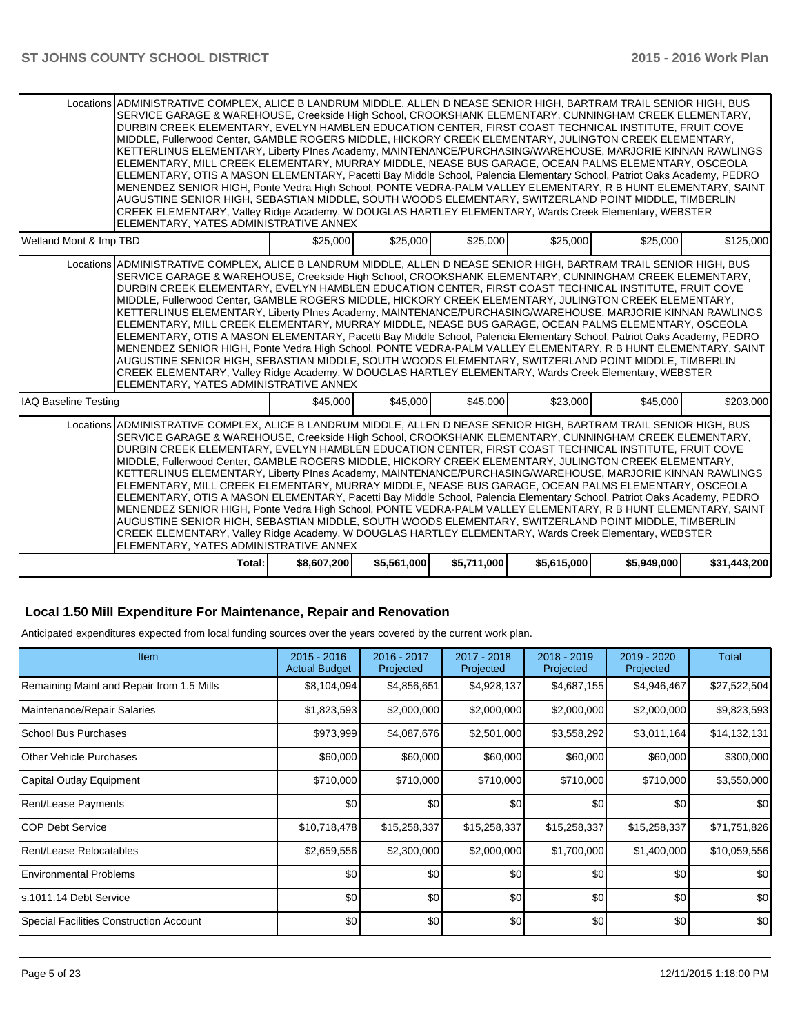|                        | Locations ADMINISTRATIVE COMPLEX, ALICE B LANDRUM MIDDLE, ALLEN D NEASE SENIOR HIGH, BARTRAM TRAIL SENIOR HIGH, BUS<br>SERVICE GARAGE & WAREHOUSE, Creekside High School, CROOKSHANK ELEMENTARY, CUNNINGHAM CREEK ELEMENTARY,<br>DURBIN CREEK ELEMENTARY, EVELYN HAMBLEN EDUCATION CENTER, FIRST COAST TECHNICAL INSTITUTE, FRUIT COVE<br>MIDDLE, Fullerwood Center, GAMBLE ROGERS MIDDLE, HICKORY CREEK ELEMENTARY, JULINGTON CREEK ELEMENTARY,<br>KETTERLINUS ELEMENTARY, Liberty PInes Academy, MAINTENANCE/PURCHASING/WAREHOUSE, MARJORIE KINNAN RAWLINGS<br>ELEMENTARY, MILL CREEK ELEMENTARY, MURRAY MIDDLE, NEASE BUS GARAGE, OCEAN PALMS ELEMENTARY, OSCEOLA<br>ELEMENTARY, OTIS A MASON ELEMENTARY, Pacetti Bay Middle School, Palencia Elementary School, Patriot Oaks Academy, PEDRO<br>MENENDEZ SENIOR HIGH, Ponte Vedra High School, PONTE VEDRA-PALM VALLEY ELEMENTARY, R B HUNT ELEMENTARY, SAINT<br>AUGUSTINE SENIOR HIGH, SEBASTIAN MIDDLE, SOUTH WOODS ELEMENTARY, SWITZERLAND POINT MIDDLE, TIMBERLIN<br>CREEK ELEMENTARY, Valley Ridge Academy, W DOUGLAS HARTLEY ELEMENTARY, Wards Creek Elementary, WEBSTER<br>ELEMENTARY, YATES ADMINISTRATIVE ANNEX |             |             |             |             |             |              |
|------------------------|-----------------------------------------------------------------------------------------------------------------------------------------------------------------------------------------------------------------------------------------------------------------------------------------------------------------------------------------------------------------------------------------------------------------------------------------------------------------------------------------------------------------------------------------------------------------------------------------------------------------------------------------------------------------------------------------------------------------------------------------------------------------------------------------------------------------------------------------------------------------------------------------------------------------------------------------------------------------------------------------------------------------------------------------------------------------------------------------------------------------------------------------------------------------------------|-------------|-------------|-------------|-------------|-------------|--------------|
| Wetland Mont & Imp TBD |                                                                                                                                                                                                                                                                                                                                                                                                                                                                                                                                                                                                                                                                                                                                                                                                                                                                                                                                                                                                                                                                                                                                                                             | \$25,000    | \$25,000    | \$25,000    | \$25,000    | \$25,000    | \$125,000    |
|                        | Locations ADMINISTRATIVE COMPLEX, ALICE B LANDRUM MIDDLE, ALLEN D NEASE SENIOR HIGH, BARTRAM TRAIL SENIOR HIGH, BUS<br>SERVICE GARAGE & WAREHOUSE, Creekside High School, CROOKSHANK ELEMENTARY, CUNNINGHAM CREEK ELEMENTARY,<br>DURBIN CREEK ELEMENTARY. EVELYN HAMBLEN EDUCATION CENTER. FIRST COAST TECHNICAL INSTITUTE. FRUIT COVE<br>MIDDLE, Fullerwood Center, GAMBLE ROGERS MIDDLE, HICKORY CREEK ELEMENTARY, JULINGTON CREEK ELEMENTARY,<br>KETTERLINUS ELEMENTARY, Liberty PInes Academy, MAINTENANCE/PURCHASING/WAREHOUSE, MARJORIE KINNAN RAWLINGS<br>ELEMENTARY, MILL CREEK ELEMENTARY, MURRAY MIDDLE, NEASE BUS GARAGE, OCEAN PALMS ELEMENTARY, OSCEOLA<br>ELEMENTARY, OTIS A MASON ELEMENTARY, Pacetti Bay Middle School, Palencia Elementary School, Patriot Oaks Academy, PEDRO<br>MENENDEZ SENIOR HIGH, Ponte Vedra High School, PONTE VEDRA-PALM VALLEY ELEMENTARY, R B HUNT ELEMENTARY, SAINT<br>AUGUSTINE SENIOR HIGH, SEBASTIAN MIDDLE, SOUTH WOODS ELEMENTARY, SWITZERLAND POINT MIDDLE, TIMBERLIN<br>CREEK ELEMENTARY, Valley Ridge Academy, W DOUGLAS HARTLEY ELEMENTARY, Wards Creek Elementary, WEBSTER<br>ELEMENTARY, YATES ADMINISTRATIVE ANNEX |             |             |             |             |             |              |
| IAQ Baseline Testing   |                                                                                                                                                                                                                                                                                                                                                                                                                                                                                                                                                                                                                                                                                                                                                                                                                                                                                                                                                                                                                                                                                                                                                                             | \$45,000    | \$45,000    | \$45,000    | \$23,000    | \$45,000    | \$203,000    |
|                        | Locations ADMINISTRATIVE COMPLEX, ALICE B LANDRUM MIDDLE, ALLEN D NEASE SENIOR HIGH, BARTRAM TRAIL SENIOR HIGH, BUS<br>SERVICE GARAGE & WAREHOUSE, Creekside High School, CROOKSHANK ELEMENTARY, CUNNINGHAM CREEK ELEMENTARY,<br>DURBIN CREEK ELEMENTARY, EVELYN HAMBLEN EDUCATION CENTER, FIRST COAST TECHNICAL INSTITUTE, FRUIT COVE<br>MIDDLE, Fullerwood Center, GAMBLE ROGERS MIDDLE, HICKORY CREEK ELEMENTARY, JULINGTON CREEK ELEMENTARY,<br>KETTERLINUS ELEMENTARY, Liberty PInes Academy, MAINTENANCE/PURCHASING/WAREHOUSE, MARJORIE KINNAN RAWLINGS<br>ELEMENTARY, MILL CREEK ELEMENTARY, MURRAY MIDDLE, NEASE BUS GARAGE, OCEAN PALMS ELEMENTARY, OSCEOLA<br>ELEMENTARY, OTIS A MASON ELEMENTARY, Pacetti Bay Middle School, Palencia Elementary School, Patriot Oaks Academy, PEDRO<br>MENENDEZ SENIOR HIGH, Ponte Vedra High School, PONTE VEDRA-PALM VALLEY ELEMENTARY, R B HUNT ELEMENTARY, SAINT<br>AUGUSTINE SENIOR HIGH, SEBASTIAN MIDDLE, SOUTH WOODS ELEMENTARY, SWITZERLAND POINT MIDDLE, TIMBERLIN<br>CREEK ELEMENTARY, Valley Ridge Academy, W DOUGLAS HARTLEY ELEMENTARY, Wards Creek Elementary, WEBSTER<br>ELEMENTARY, YATES ADMINISTRATIVE ANNEX |             |             |             |             |             |              |
|                        | Total:                                                                                                                                                                                                                                                                                                                                                                                                                                                                                                                                                                                                                                                                                                                                                                                                                                                                                                                                                                                                                                                                                                                                                                      | \$8,607,200 | \$5,561,000 | \$5,711,000 | \$5,615,000 | \$5,949,000 | \$31,443,200 |

# **Local 1.50 Mill Expenditure For Maintenance, Repair and Renovation**

Anticipated expenditures expected from local funding sources over the years covered by the current work plan.

| <b>Item</b>                               | $2015 - 2016$<br><b>Actual Budget</b> | 2016 - 2017<br>Projected | 2017 - 2018<br>Projected | 2018 - 2019<br>Projected | 2019 - 2020<br>Projected | <b>Total</b>     |
|-------------------------------------------|---------------------------------------|--------------------------|--------------------------|--------------------------|--------------------------|------------------|
| Remaining Maint and Repair from 1.5 Mills | \$8,104,094                           | \$4,856,651              | \$4,928,137              | \$4,687,155              | \$4,946,467              | \$27,522,504     |
| Maintenance/Repair Salaries               | \$1,823,593                           | \$2,000,000              | \$2,000,000              | \$2,000,000              | \$2,000,000              | \$9,823,593      |
| <b>School Bus Purchases</b>               | \$973,999                             | \$4,087,676              | \$2,501,000              | \$3,558,292              | \$3,011,164              | \$14,132,131     |
| <b>IOther Vehicle Purchases</b>           | \$60,000                              | \$60,000                 | \$60,000                 | \$60,000                 | \$60,000                 | \$300,000        |
| Capital Outlay Equipment                  | \$710,000                             | \$710,000                | \$710,000                | \$710,000                | \$710,000                | \$3,550,000      |
| <b>Rent/Lease Payments</b>                | \$0                                   | \$0                      | \$0                      | \$0                      | \$0                      | \$0 <sub>1</sub> |
| ICOP Debt Service                         | \$10,718,478                          | \$15,258,337             | \$15,258,337             | \$15,258,337             | \$15,258,337             | \$71,751,826     |
| Rent/Lease Relocatables                   | \$2,659,556                           | \$2,300,000              | \$2,000,000              | \$1,700,000              | \$1,400,000              | \$10,059,556     |
| <b>Environmental Problems</b>             | \$0                                   | \$0                      | \$0                      | \$0                      | \$0                      | \$0 <sub>1</sub> |
| s.1011.14 Debt Service                    | \$0 <sub>1</sub>                      | \$0                      | \$0                      | \$0                      | \$0                      | \$0 <sub>1</sub> |
| Special Facilities Construction Account   | \$0                                   | \$0                      | \$0                      | \$0                      | \$0                      | \$0              |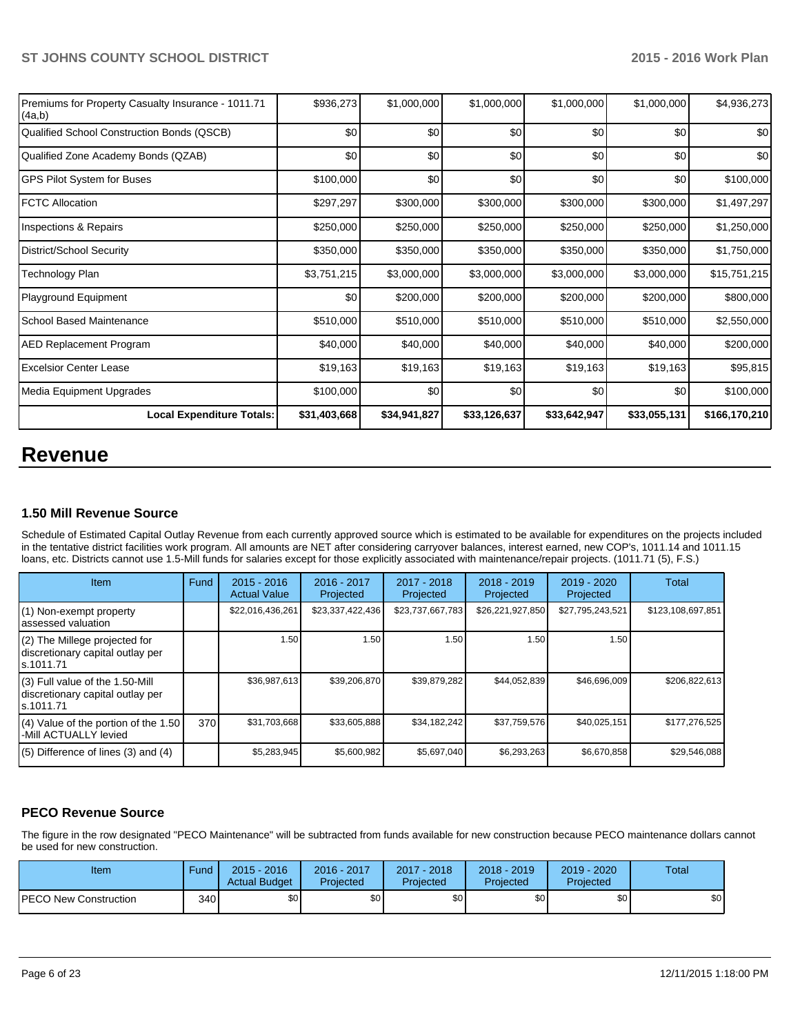| Premiums for Property Casualty Insurance - 1011.71<br>(4a,b) | \$936,273    | \$1,000,000  | \$1,000,000  | \$1,000,000  | \$1,000,000  | \$4,936,273   |
|--------------------------------------------------------------|--------------|--------------|--------------|--------------|--------------|---------------|
| Qualified School Construction Bonds (QSCB)                   | \$0          | \$0          | \$0          | \$0          | \$0          | \$0           |
| Qualified Zone Academy Bonds (QZAB)                          | \$0          | \$0          | \$0          | \$0          | \$0          | \$0           |
| <b>GPS Pilot System for Buses</b>                            | \$100,000    | \$0          | \$0          | \$0          | \$0          | \$100,000     |
| <b>IFCTC Allocation</b>                                      | \$297,297    | \$300,000    | \$300,000    | \$300,000    | \$300,000    | \$1,497,297   |
| Inspections & Repairs                                        | \$250,000    | \$250,000    | \$250,000    | \$250,000    | \$250,000    | \$1,250,000   |
| District/School Security                                     | \$350,000    | \$350,000    | \$350,000    | \$350,000    | \$350,000    | \$1,750,000   |
| Technology Plan                                              | \$3,751,215  | \$3,000,000  | \$3,000,000  | \$3,000,000  | \$3,000,000  | \$15,751,215  |
| Playground Equipment                                         | \$0          | \$200,000    | \$200,000    | \$200,000    | \$200,000    | \$800,000     |
| <b>School Based Maintenance</b>                              | \$510,000    | \$510,000    | \$510,000    | \$510,000    | \$510,000    | \$2,550,000   |
| <b>AED Replacement Program</b>                               | \$40,000     | \$40,000     | \$40,000     | \$40,000     | \$40,000     | \$200,000     |
| <b>Excelsior Center Lease</b>                                | \$19,163     | \$19,163     | \$19,163     | \$19,163     | \$19,163     | \$95,815      |
| Media Equipment Upgrades                                     | \$100,000    | \$0          | \$0          | \$0          | \$0          | \$100,000     |
| <b>Local Expenditure Totals:</b>                             | \$31,403,668 | \$34,941,827 | \$33,126,637 | \$33,642,947 | \$33,055,131 | \$166,170,210 |

# **Revenue**

## **1.50 Mill Revenue Source**

Schedule of Estimated Capital Outlay Revenue from each currently approved source which is estimated to be available for expenditures on the projects included In the tentative district facilities work program. All amounts are NET after considering carryover balances, interest earned, new COP's, 1011.14 and 1011.15 loans, etc. Districts cannot use 1.5-Mill funds for salaries except for those explicitly associated with maintenance/repair projects. (1011.71 (5), F.S.)

| Item                                                                              | Fund | $2015 - 2016$<br><b>Actual Value</b> | $2016 - 2017$<br>Projected | 2017 - 2018<br>Projected | $2018 - 2019$<br>Projected | $2019 - 2020$<br>Projected | Total             |
|-----------------------------------------------------------------------------------|------|--------------------------------------|----------------------------|--------------------------|----------------------------|----------------------------|-------------------|
| (1) Non-exempt property<br>lassessed valuation                                    |      | \$22,016,436,261                     | \$23,337,422,436           | \$23,737,667,783         | \$26,221,927,850           | \$27,795,243,521           | \$123,108,697,851 |
| (2) The Millege projected for<br>discretionary capital outlay per<br>ls.1011.71   |      | 1.50                                 | 1.50                       | 1.50                     | 1.50                       | 1.50                       |                   |
| (3) Full value of the 1.50-Mill<br>discretionary capital outlay per<br>ls.1011.71 |      | \$36,987,613                         | \$39,206,870               | \$39,879,282             | \$44,052,839               | \$46,696,009               | \$206.822.613     |
| $(4)$ Value of the portion of the 1.50<br>-Mill ACTUALLY levied                   | 370  | \$31,703,668                         | \$33,605,888               | \$34,182,242             | \$37,759,576               | \$40,025,151               | \$177,276,525     |
| $(5)$ Difference of lines $(3)$ and $(4)$                                         |      | \$5,283,945                          | \$5,600,982                | \$5,697,040              | \$6,293,263                | \$6,670,858                | \$29,546,088      |

# **PECO Revenue Source**

The figure in the row designated "PECO Maintenance" will be subtracted from funds available for new construction because PECO maintenance dollars cannot be used for new construction.

| Item                         | Fund | $2015 - 2016$<br><b>Actual Budget</b> | 2016 - 2017<br>Projected | 2017 - 2018<br>Projected | 2018 - 2019<br>Projected | $2019 - 2020$<br>Projected | <b>Total</b>     |
|------------------------------|------|---------------------------------------|--------------------------|--------------------------|--------------------------|----------------------------|------------------|
| <b>PECO New Construction</b> | 340  | \$0 <sub>1</sub>                      | \$0                      | \$0 <sub>1</sub>         | \$0 <sub>1</sub>         | \$0                        | \$0 <sub>1</sub> |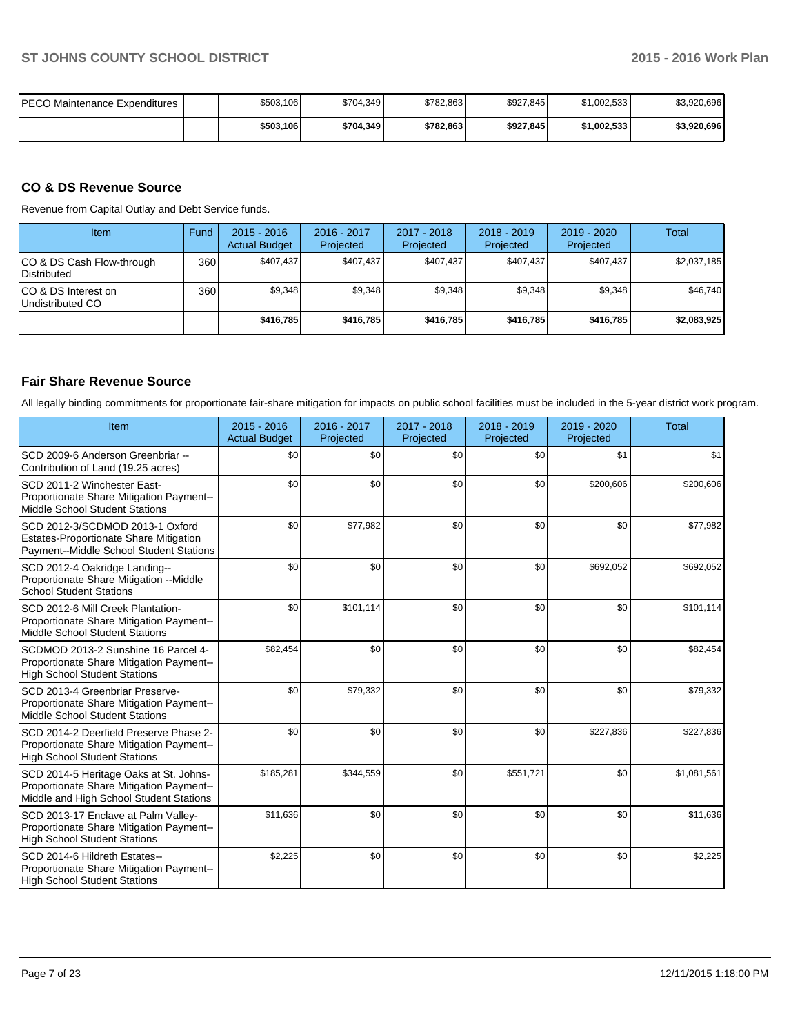| PECO Maintenance Expenditures | \$503,106 | \$704.349 | \$782.863 | \$927,845 | \$1,002,533 | \$3,920,696 |
|-------------------------------|-----------|-----------|-----------|-----------|-------------|-------------|
|                               | \$503,106 | \$704,349 | \$782.863 | \$927.845 | \$1,002,533 | \$3,920,696 |

# **CO & DS Revenue Source**

Revenue from Capital Outlay and Debt Service funds.

| Item                                               | Fund | $2015 - 2016$<br><b>Actual Budget</b> | $2016 - 2017$<br>Projected | 2017 - 2018<br>Projected | $2018 - 2019$<br>Projected | $2019 - 2020$<br>Projected | Total       |
|----------------------------------------------------|------|---------------------------------------|----------------------------|--------------------------|----------------------------|----------------------------|-------------|
| ICO & DS Cash Flow-through<br><b>I</b> Distributed | 360  | \$407,437                             | \$407,437                  | \$407.437                | \$407,437                  | \$407.437                  | \$2,037,185 |
| ICO & DS Interest on<br>Undistributed CO           | 360  | \$9.348                               | \$9,348                    | \$9,348                  | \$9.348                    | \$9,348                    | \$46,740    |
|                                                    |      | \$416,785                             | \$416,785                  | \$416.785                | \$416,785                  | \$416,785                  | \$2,083,925 |

# **Fair Share Revenue Source**

All legally binding commitments for proportionate fair-share mitigation for impacts on public school facilities must be included in the 5-year district work program.

| Item                                                                                                                          | $2015 - 2016$<br><b>Actual Budget</b> | 2016 - 2017<br>Projected | 2017 - 2018<br>Projected | 2018 - 2019<br>Projected | $2019 - 2020$<br>Projected | <b>Total</b> |
|-------------------------------------------------------------------------------------------------------------------------------|---------------------------------------|--------------------------|--------------------------|--------------------------|----------------------------|--------------|
| SCD 2009-6 Anderson Greenbriar --<br>Contribution of Land (19.25 acres)                                                       | \$0                                   | \$0                      | \$0                      | \$0                      | \$1                        | \$1          |
| SCD 2011-2 Winchester East-<br>Proportionate Share Mitigation Payment--<br>Middle School Student Stations                     | \$0                                   | \$0                      | \$0                      | \$0                      | \$200,606                  | \$200,606    |
| SCD 2012-3/SCDMOD 2013-1 Oxford<br><b>Estates-Proportionate Share Mitigation</b><br>Payment--Middle School Student Stations   | \$0                                   | \$77,982                 | \$0                      | \$0                      | \$0                        | \$77,982     |
| SCD 2012-4 Oakridge Landing--<br>Proportionate Share Mitigation -- Middle<br><b>School Student Stations</b>                   | \$0                                   | \$0                      | \$0                      | \$0                      | \$692,052                  | \$692,052    |
| SCD 2012-6 Mill Creek Plantation-<br>Proportionate Share Mitigation Payment--<br>Middle School Student Stations               | \$0                                   | \$101,114                | \$0                      | \$0                      | \$0                        | \$101,114    |
| SCDMOD 2013-2 Sunshine 16 Parcel 4-<br>Proportionate Share Mitigation Payment--<br><b>High School Student Stations</b>        | \$82,454                              | \$0                      | \$0                      | \$0                      | \$0                        | \$82,454     |
| SCD 2013-4 Greenbriar Preserve-<br>Proportionate Share Mitigation Payment--<br>Middle School Student Stations                 | \$0                                   | \$79,332                 | \$0                      | \$0                      | \$0                        | \$79,332     |
| SCD 2014-2 Deerfield Preserve Phase 2-<br>Proportionate Share Mitigation Payment--<br><b>High School Student Stations</b>     | \$0                                   | \$0                      | \$0                      | \$0                      | \$227,836                  | \$227,836    |
| SCD 2014-5 Heritage Oaks at St. Johns-<br>Proportionate Share Mitigation Payment--<br>Middle and High School Student Stations | \$185,281                             | \$344,559                | \$0                      | \$551,721                | \$0                        | \$1,081,561  |
| SCD 2013-17 Enclave at Palm Valley-<br>Proportionate Share Mitigation Payment--<br><b>High School Student Stations</b>        | \$11,636                              | \$0                      | \$0                      | \$0                      | \$0                        | \$11,636     |
| SCD 2014-6 Hildreth Estates--<br>Proportionate Share Mitigation Payment--<br><b>High School Student Stations</b>              | \$2,225                               | \$0                      | \$0                      | \$0                      | \$0                        | \$2,225      |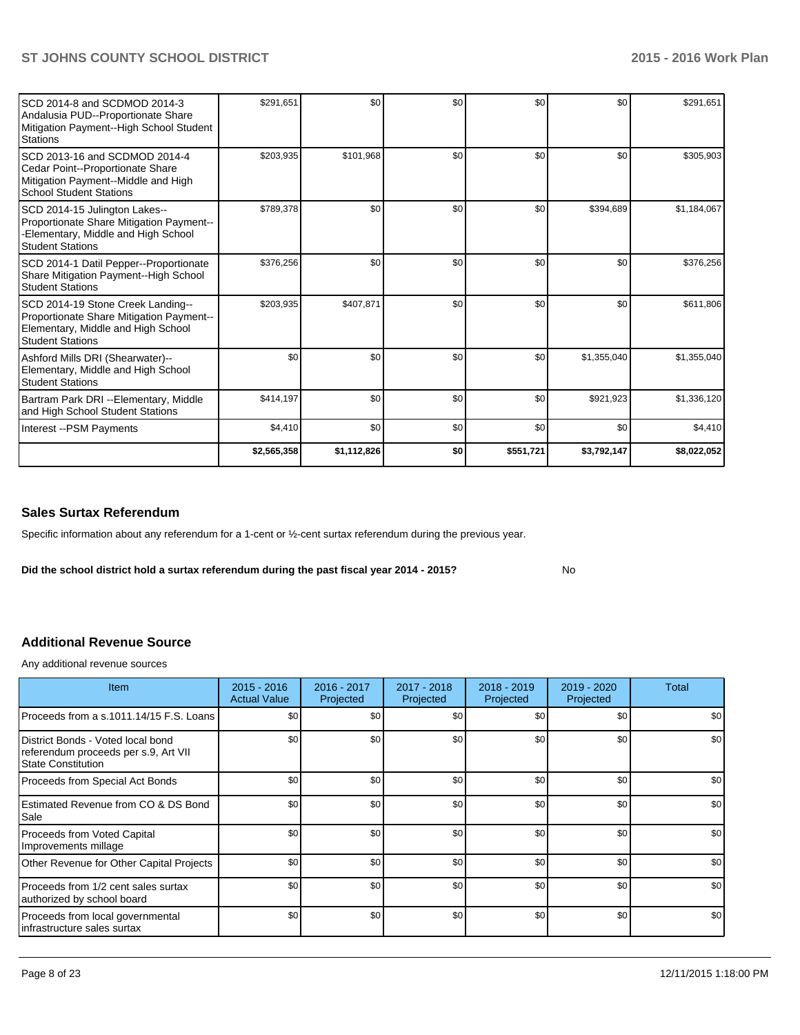| SCD 2014-8 and SCDMOD 2014-3<br>Andalusia PUD--Proportionate Share<br>Mitigation Payment--High School Student<br>Stations                      | \$291,651   | \$0         | \$0 | \$0       | \$0         | \$291,651   |
|------------------------------------------------------------------------------------------------------------------------------------------------|-------------|-------------|-----|-----------|-------------|-------------|
| SCD 2013-16 and SCDMOD 2014-4<br>Cedar Point--Proportionate Share<br>Mitigation Payment--Middle and High<br><b>School Student Stations</b>     | \$203,935   | \$101,968   | \$0 | \$0       | \$0         | \$305,903   |
| SCD 2014-15 Julington Lakes--<br>Proportionate Share Mitigation Payment--<br>Elementary, Middle and High School<br><b>Student Stations</b>     | \$789,378   | \$0         | \$0 | \$0       | \$394,689   | \$1,184,067 |
| SCD 2014-1 Datil Pepper--Proportionate<br>Share Mitigation Payment--High School<br><b>Student Stations</b>                                     | \$376,256   | \$0         | \$0 | \$0       | \$0         | \$376,256   |
| SCD 2014-19 Stone Creek Landing--<br>Proportionate Share Mitigation Payment--<br>Elementary, Middle and High School<br><b>Student Stations</b> | \$203,935   | \$407,871   | \$0 | \$0       | \$0         | \$611,806   |
| Ashford Mills DRI (Shearwater)--<br>Elementary, Middle and High School<br><b>Student Stations</b>                                              | \$0         | \$0         | \$0 | \$0       | \$1,355,040 | \$1,355,040 |
| Bartram Park DRI --Elementary, Middle<br>and High School Student Stations                                                                      | \$414,197   | \$0         | \$0 | \$0       | \$921,923   | \$1,336,120 |
| Interest -- PSM Payments                                                                                                                       | \$4,410     | \$0         | \$0 | \$0       | \$0         | \$4,410     |
|                                                                                                                                                | \$2,565,358 | \$1,112,826 | \$0 | \$551,721 | \$3,792,147 | \$8,022,052 |

# **Sales Surtax Referendum**

Specific information about any referendum for a 1-cent or ½-cent surtax referendum during the previous year.

**Did the school district hold a surtax referendum during the past fiscal year 2014 - 2015?**

No

# **Additional Revenue Source**

Any additional revenue sources

| <b>Item</b>                                                                                            | $2015 - 2016$<br><b>Actual Value</b> | $2016 - 2017$<br>Projected | 2017 - 2018<br>Projected | 2018 - 2019<br>Projected | 2019 - 2020<br>Projected | Total            |
|--------------------------------------------------------------------------------------------------------|--------------------------------------|----------------------------|--------------------------|--------------------------|--------------------------|------------------|
| Proceeds from a s.1011.14/15 F.S. Loans                                                                | \$0                                  | \$0                        | \$0                      | \$0                      | \$0                      | \$0              |
| District Bonds - Voted local bond<br>referendum proceeds per s.9, Art VII<br><b>State Constitution</b> | \$0                                  | \$0                        | \$0                      | \$0                      | \$0                      | \$0              |
| Proceeds from Special Act Bonds                                                                        | \$0                                  | \$0                        | \$0                      | \$0                      | \$0                      | \$0              |
| Estimated Revenue from CO & DS Bond<br>Sale                                                            | \$0                                  | \$0                        | \$0                      | \$0                      | \$0                      | \$0              |
| <b>Proceeds from Voted Capital</b><br>Improvements millage                                             | \$0                                  | \$0                        | \$0                      | \$0                      | \$0                      | \$0              |
| Other Revenue for Other Capital Projects                                                               | \$0                                  | \$0                        | \$0                      | \$0                      | \$0                      | \$0              |
| Proceeds from 1/2 cent sales surtax<br>authorized by school board                                      | \$0                                  | \$0                        | \$0                      | \$0                      | \$0                      | \$0              |
| Proceeds from local governmental<br>infrastructure sales surtax                                        | \$0                                  | \$0                        | \$0                      | \$0                      | \$0                      | \$0 <sub>1</sub> |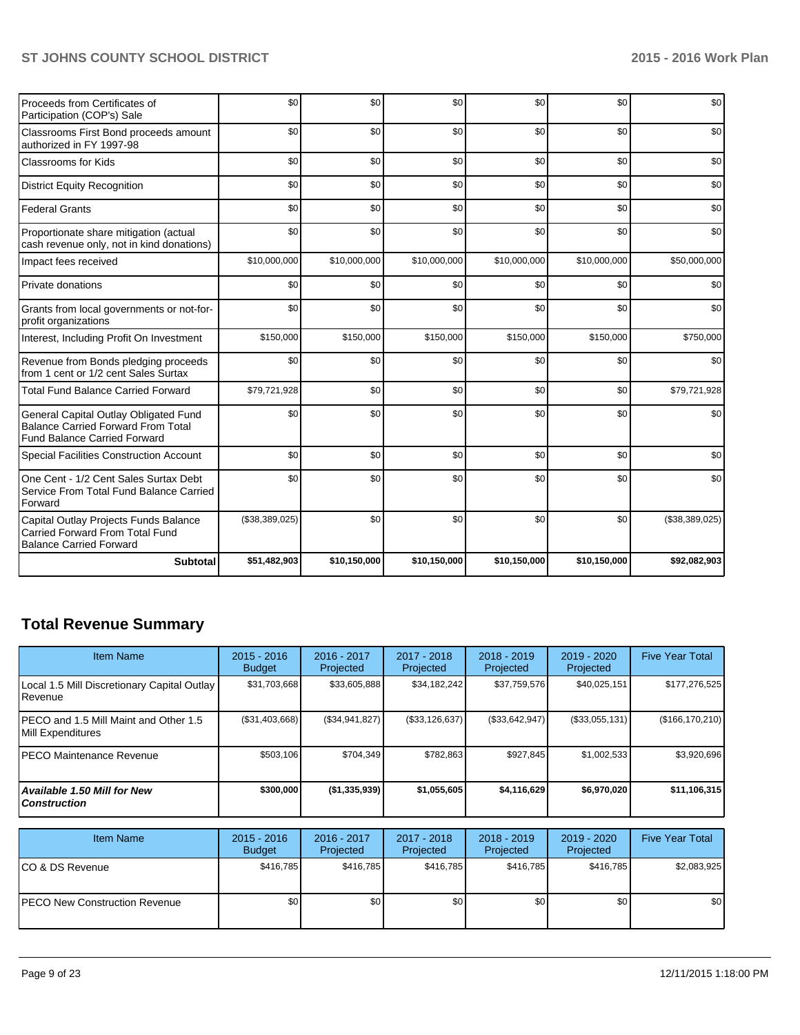| Proceeds from Certificates of<br>Participation (COP's) Sale                                                               | \$0            | \$0          | \$0          | \$0          | \$0          | \$0            |
|---------------------------------------------------------------------------------------------------------------------------|----------------|--------------|--------------|--------------|--------------|----------------|
| Classrooms First Bond proceeds amount<br>authorized in FY 1997-98                                                         | \$0            | \$0          | \$0          | \$0          | \$0          | \$0            |
| <b>Classrooms for Kids</b>                                                                                                | \$0            | \$0          | \$0          | \$0          | \$0          | \$0            |
| <b>District Equity Recognition</b>                                                                                        | \$0            | \$0          | \$0          | \$0          | \$0          | \$0            |
| <b>Federal Grants</b>                                                                                                     | \$0            | \$0          | \$0          | \$0          | \$0          | \$0            |
| Proportionate share mitigation (actual<br>cash revenue only, not in kind donations)                                       | \$0            | \$0          | \$0          | \$0          | \$0          | \$0            |
| Impact fees received                                                                                                      | \$10,000,000   | \$10,000,000 | \$10,000,000 | \$10,000,000 | \$10,000,000 | \$50,000,000   |
| Private donations                                                                                                         | \$0            | \$0          | \$0          | \$0          | \$0          | \$0            |
| Grants from local governments or not-for-<br>profit organizations                                                         | \$0            | \$0          | \$0          | \$0          | \$0          | \$0            |
| Interest, Including Profit On Investment                                                                                  | \$150,000      | \$150,000    | \$150,000    | \$150,000    | \$150,000    | \$750,000      |
| Revenue from Bonds pledging proceeds<br>from 1 cent or 1/2 cent Sales Surtax                                              | \$0            | \$0          | \$0          | \$0          | \$0          | \$0            |
| <b>Total Fund Balance Carried Forward</b>                                                                                 | \$79,721,928   | \$0          | \$0          | \$0          | \$0          | \$79,721,928   |
| General Capital Outlay Obligated Fund<br><b>Balance Carried Forward From Total</b><br><b>Fund Balance Carried Forward</b> | \$0            | \$0          | \$0          | \$0          | \$0          | \$0            |
| Special Facilities Construction Account                                                                                   | \$0            | \$0          | \$0          | \$0          | \$0          | \$0            |
| One Cent - 1/2 Cent Sales Surtax Debt<br>Service From Total Fund Balance Carried<br>Forward                               | \$0            | \$0          | \$0          | \$0          | \$0          | \$0            |
| Capital Outlay Projects Funds Balance<br><b>Carried Forward From Total Fund</b><br><b>Balance Carried Forward</b>         | (\$38,389,025) | \$0          | \$0          | \$0          | \$0          | (\$38,389,025) |
| <b>Subtotal</b>                                                                                                           | \$51,482,903   | \$10,150,000 | \$10,150,000 | \$10,150,000 | \$10,150,000 | \$92,082,903   |

# **Total Revenue Summary**

| <b>Item Name</b>                                           | $2015 - 2016$<br><b>Budget</b> | 2016 - 2017<br>Projected | 2017 - 2018<br>Projected | 2018 - 2019<br>Projected | 2019 - 2020<br>Projected   | <b>Five Year Total</b> |
|------------------------------------------------------------|--------------------------------|--------------------------|--------------------------|--------------------------|----------------------------|------------------------|
| Local 1.5 Mill Discretionary Capital Outlay<br>Revenue     | \$31,703,668                   | \$33,605,888             | \$34,182,242             | \$37,759,576             | \$40,025,151               | \$177,276,525          |
| PECO and 1.5 Mill Maint and Other 1.5<br>Mill Expenditures | (\$31,403,668)                 | (\$34,941,827)           | $(\$33,126,637)$         | ( \$33,642,947)          | $(\$33,055,131)$           | (\$166, 170, 210)      |
| <b>PECO Maintenance Revenue</b>                            | \$503,106                      | \$704,349                | \$782,863                | \$927,845                | \$1,002,533                | \$3,920,696            |
| <b>Available 1.50 Mill for New</b><br><b>Construction</b>  | \$300,000                      | (\$1,335,939)            | \$1,055,605              | \$4,116,629              | \$6,970,020                | \$11,106,315           |
|                                                            |                                |                          |                          |                          |                            |                        |
| <b>Item Name</b>                                           | $2015 - 2016$<br><b>Budget</b> | 2016 - 2017<br>Projected | 2017 - 2018<br>Projected | 2018 - 2019<br>Projected | $2019 - 2020$<br>Projected | <b>Five Year Total</b> |
| CO & DS Revenue                                            | \$416,785                      | \$416,785                | \$416,785                | \$416,785                | \$416,785                  | \$2,083,925            |
| <b>PECO New Construction Revenue</b>                       | \$0                            | \$0                      | \$0                      | \$0                      | \$0                        | \$0                    |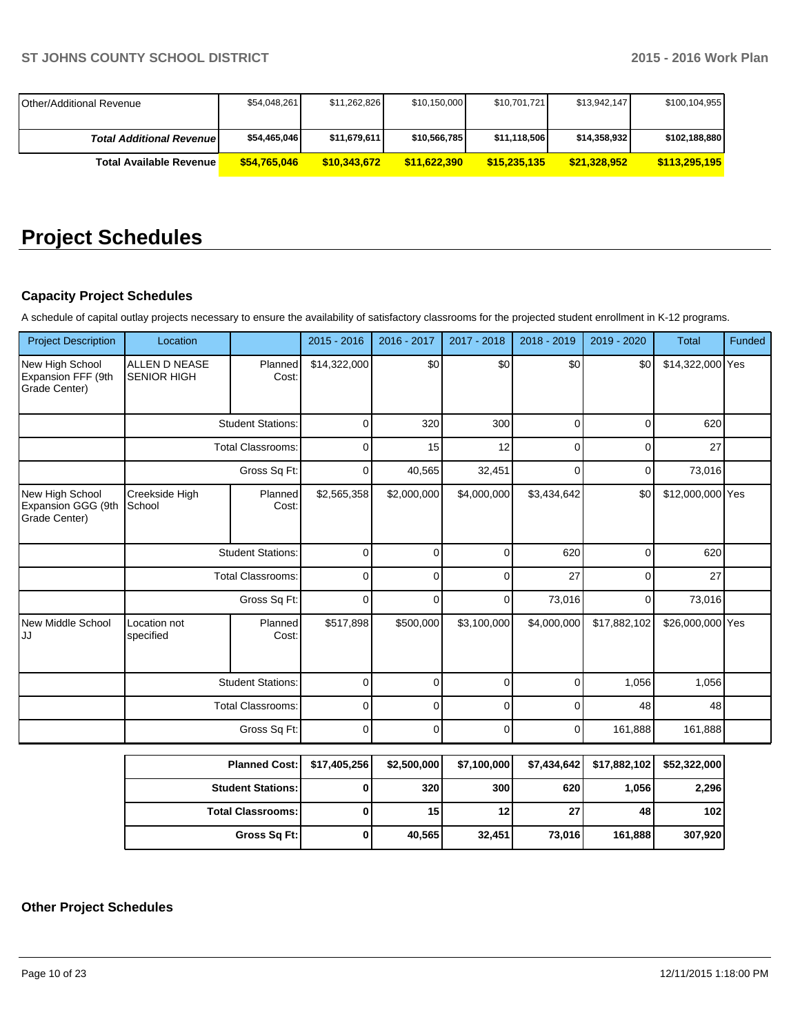| <b>IOther/Additional Revenue</b> | \$54,048,261 | \$11,262,826 | \$10,150,000 | \$10,701,721 | \$13.942.147  | \$100,104,955 |
|----------------------------------|--------------|--------------|--------------|--------------|---------------|---------------|
| <b>Total Additional Revenuel</b> | \$54,465,046 | \$11,679,611 | \$10,566,785 | \$11,118,506 | \$14.358.9321 | \$102,188,880 |
| <b>Total Available Revenue</b>   | \$54.765.046 | \$10,343,672 | \$11.622.390 | \$15,235,135 | \$21,328,952  | \$113,295,195 |

# **Project Schedules**

# **Capacity Project Schedules**

A schedule of capital outlay projects necessary to ensure the availability of satisfactory classrooms for the projected student enrollment in K-12 programs.

| <b>Project Description</b>                             | Location                                   |                          | $2015 - 2016$ | 2016 - 2017 | 2017 - 2018 | 2018 - 2019 | 2019 - 2020  | <b>Total</b>     | Funded |
|--------------------------------------------------------|--------------------------------------------|--------------------------|---------------|-------------|-------------|-------------|--------------|------------------|--------|
| New High School<br>Expansion FFF (9th<br>Grade Center) | <b>ALLEN D NEASE</b><br><b>SENIOR HIGH</b> | Planned<br>Cost:         | \$14,322,000  | \$0         | \$0         | \$0         | \$0          | \$14,322,000 Yes |        |
|                                                        | <b>Student Stations:</b>                   |                          | $\mathbf 0$   | 320         | 300         | 0           | $\Omega$     | 620              |        |
|                                                        |                                            | <b>Total Classrooms:</b> | $\mathbf 0$   | 15          | 12          | O           | $\Omega$     | 27               |        |
|                                                        |                                            | Gross Sq Ft:             | $\Omega$      | 40,565      | 32,451      | 0           | $\Omega$     | 73,016           |        |
| New High School<br>Expansion GGG (9th<br>Grade Center) | Creekside High<br>School                   | Planned<br>Cost:         | \$2,565,358   | \$2,000,000 | \$4,000,000 | \$3,434,642 | \$0          | \$12,000,000 Yes |        |
|                                                        | <b>Student Stations:</b>                   |                          | $\mathbf 0$   | $\Omega$    | 0           | 620         | $\mathbf 0$  | 620              |        |
|                                                        |                                            | <b>Total Classrooms:</b> | $\mathbf 0$   | $\Omega$    | 0           | 27          | 0            | 27               |        |
|                                                        |                                            | Gross Sq Ft:             | $\Omega$      | 0           | $\Omega$    | 73,016      | $\Omega$     | 73,016           |        |
| New Middle School<br>IJJ                               | Location not<br>specified                  | Planned<br>Cost:         | \$517,898     | \$500,000   | \$3,100,000 | \$4,000,000 | \$17,882,102 | \$26,000,000 Yes |        |
|                                                        |                                            | <b>Student Stations:</b> | $\mathbf 0$   | 0           | 0           | 0           | 1,056        | 1,056            |        |
|                                                        |                                            | <b>Total Classrooms:</b> | $\mathbf 0$   | 0           | $\Omega$    |             | 48           | 48               |        |
|                                                        |                                            | Gross Sq Ft:             | 0             | 0           | $\Omega$    | 0           | 161,888      | 161,888          |        |

| Planned Cost:   \$17,405,256 | \$2,500,000 | \$7,100,000     |                 | \$7,434,642   \$17,882,102 | \$52,322,000     |
|------------------------------|-------------|-----------------|-----------------|----------------------------|------------------|
| <b>Student Stations:</b>     | 320         | 300             | 620 l           | 1.056 l                    | 2,296            |
| <b>Total Classrooms:</b>     | 15          | 12 <sub>1</sub> | 27 <sub>l</sub> | 48                         | 102 <sub>l</sub> |
| Gross Sq Ft:                 | 40.565      | 32.451          | 73,016          | 161.888                    | 307,920          |

# **Other Project Schedules**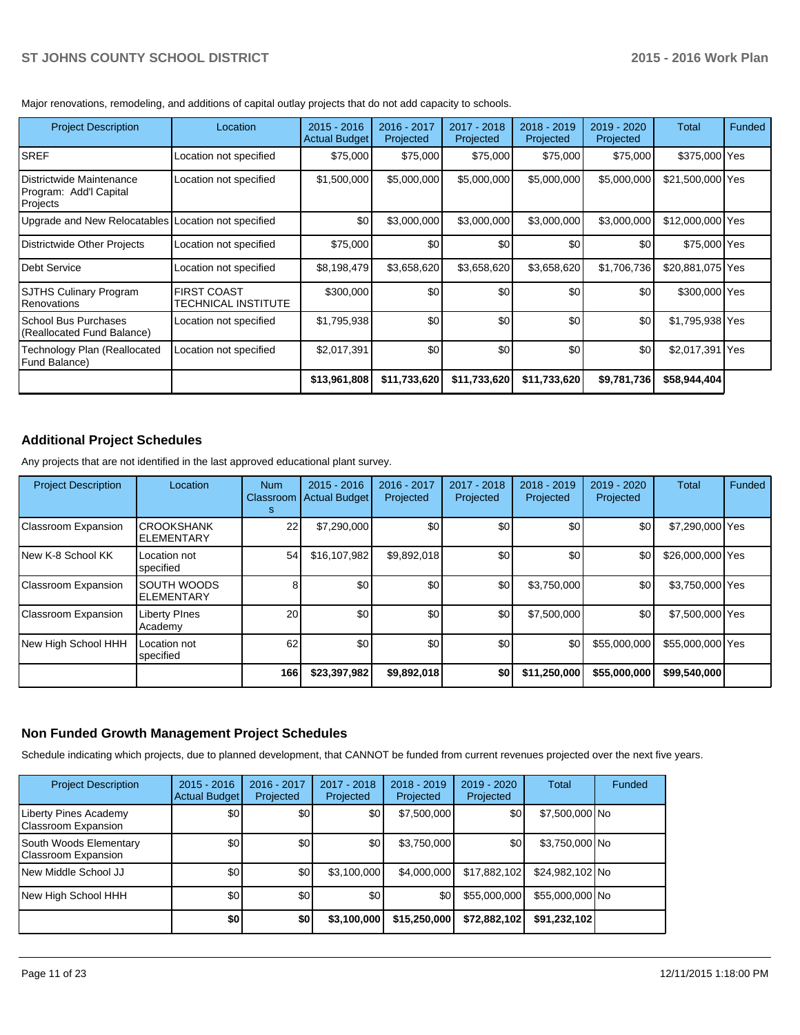Major renovations, remodeling, and additions of capital outlay projects that do not add capacity to schools.

| <b>Project Description</b>                                     | Location                                  | $2015 - 2016$<br><b>Actual Budget</b> | 2016 - 2017<br>Projected | 2017 - 2018<br>Projected | 2018 - 2019<br>Projected | 2019 - 2020<br>Projected | Total            | Funded |
|----------------------------------------------------------------|-------------------------------------------|---------------------------------------|--------------------------|--------------------------|--------------------------|--------------------------|------------------|--------|
| <b>SREF</b>                                                    | Location not specified                    | \$75,000                              | \$75,000                 | \$75,000                 | \$75,000                 | \$75,000                 | \$375,000 Yes    |        |
| Districtwide Maintenance<br>Program: Add'l Capital<br>Projects | Location not specified                    | \$1,500,000                           | \$5,000,000              | \$5,000,000              | \$5,000,000              | \$5,000,000              | \$21,500,000 Yes |        |
| Upgrade and New Relocatables Location not specified            |                                           | \$0                                   | \$3,000,000              | \$3,000,000              | \$3,000,000              | \$3,000,000              | \$12,000,000 Yes |        |
| Districtwide Other Projects                                    | Location not specified                    | \$75,000                              | \$0                      | \$0                      | \$0                      | \$0                      | \$75,000 Yes     |        |
| <b>IDebt Service</b>                                           | Location not specified                    | \$8,198,479                           | \$3,658,620              | \$3,658,620              | \$3,658,620              | \$1,706,736              | \$20,881,075 Yes |        |
| <b>SJTHS Culinary Program</b><br><b>Renovations</b>            | <b>FIRST COAST</b><br>TECHNICAL INSTITUTE | \$300,000                             | \$0                      | \$0                      | \$0                      | \$0                      | \$300,000 Yes    |        |
| l School Bus Purchases<br>(Reallocated Fund Balance)           | Location not specified                    | \$1,795,938                           | \$0                      | \$0                      | \$0                      | \$0                      | \$1,795,938 Yes  |        |
| Technology Plan (Reallocated<br><b>Fund Balance)</b>           | Location not specified                    | \$2,017,391                           | \$0                      | \$0                      | \$0                      | \$0                      | \$2,017,391 Yes  |        |
|                                                                |                                           | \$13,961,808                          | \$11,733,620             | \$11,733,620             | \$11,733,620             | \$9,781,736              | \$58,944,404     |        |

# **Additional Project Schedules**

Any projects that are not identified in the last approved educational plant survey.

| <b>Project Description</b> | Location                                | <b>Num</b><br>Classroom<br>s | $2015 - 2016$<br><b>Actual Budget</b> | 2016 - 2017<br>Projected | $2017 - 2018$<br>Projected | $2018 - 2019$<br>Projected | 2019 - 2020<br>Projected | Total            | Funded |
|----------------------------|-----------------------------------------|------------------------------|---------------------------------------|--------------------------|----------------------------|----------------------------|--------------------------|------------------|--------|
| Classroom Expansion        | <b>CROOKSHANK</b><br><b>ELEMENTARY</b>  | 22                           | \$7,290,000                           | \$0                      | \$0                        | \$0                        | \$0                      | \$7,290,000 Yes  |        |
| INew K-8 School KK         | Location not<br>specified               | 54                           | \$16,107,982                          | \$9,892,018              | \$0                        | \$0                        | \$0                      | \$26,000,000 Yes |        |
| Classroom Expansion        | <b>SOUTH WOODS</b><br><b>ELEMENTARY</b> |                              | \$0                                   | \$0                      | \$0                        | \$3,750,000                | \$0                      | \$3,750,000 Yes  |        |
| Classroom Expansion        | <b>Liberty PInes</b><br>Academy         | 20 <sup>1</sup>              | \$0                                   | \$0                      | \$0                        | \$7,500,000                | \$0                      | \$7,500,000 Yes  |        |
| New High School HHH        | Location not<br>specified               | 62                           | \$0                                   | \$0                      | \$0                        | \$0                        | \$55,000,000             | \$55,000,000 Yes |        |
|                            |                                         | 166                          | \$23,397,982                          | \$9,892,018              | \$0                        | \$11,250,000               | \$55,000,000             | \$99,540,000     |        |

# **Non Funded Growth Management Project Schedules**

Schedule indicating which projects, due to planned development, that CANNOT be funded from current revenues projected over the next five years.

| <b>Project Description</b>                           | $2015 - 2016$<br><b>Actual Budget</b> | 2016 - 2017<br>Projected | $2017 - 2018$<br>Projected | $2018 - 2019$<br>Projected | $2019 - 2020$<br>Projected | Total           | Funded |
|------------------------------------------------------|---------------------------------------|--------------------------|----------------------------|----------------------------|----------------------------|-----------------|--------|
| Liberty Pines Academy<br>Classroom Expansion         | \$0                                   | \$0                      | \$0                        | \$7,500,000                | \$0                        | \$7,500,000 No  |        |
| South Woods Elementary<br><b>Classroom Expansion</b> | \$0                                   | \$0                      | \$0                        | \$3,750,000                | \$0                        | $$3,750,000$ No |        |
| INew Middle School JJ                                | \$0                                   | \$0                      | \$3,100,000                | \$4,000,000                | \$17,882,102               | \$24,982,102 No |        |
| New High School HHH                                  | \$0                                   | \$0                      | \$0                        | \$0                        | \$55,000,000               | \$55,000,000 No |        |
|                                                      | \$0                                   | \$0                      | \$3,100,000                | \$15,250,000               | \$72,882,102               | \$91,232,102    |        |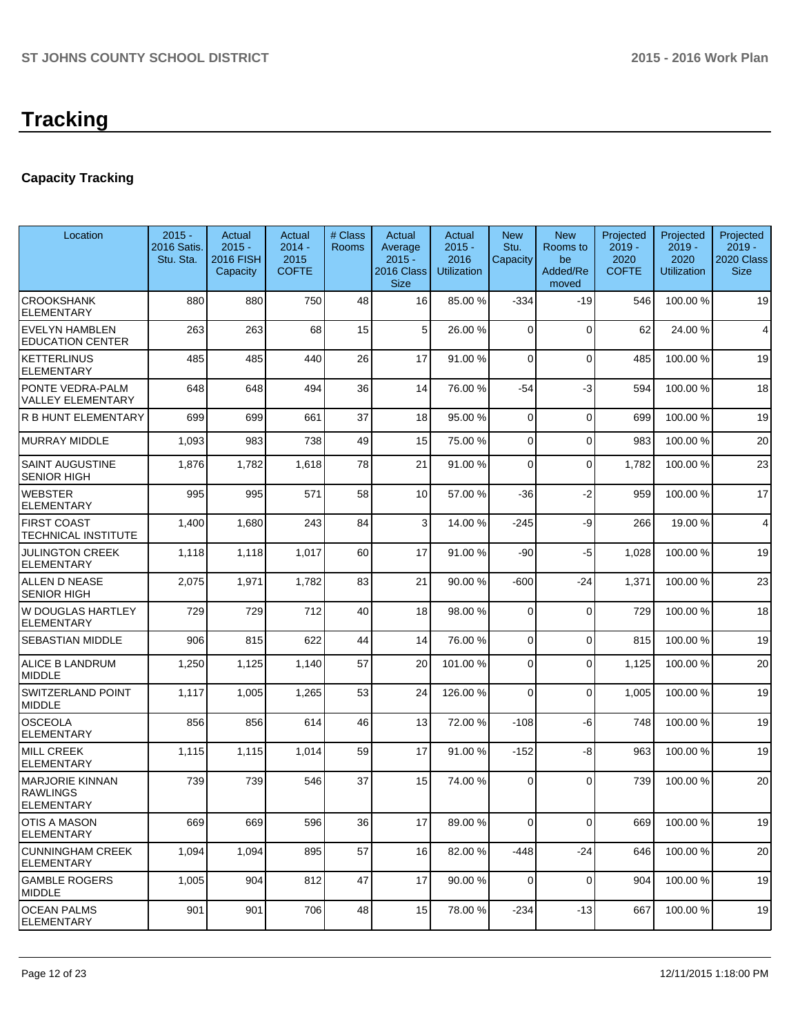# **Capacity Tracking**

| Location                                                       | $2015 -$<br>2016 Satis.<br>Stu. Sta. | Actual<br>$2015 -$<br><b>2016 FISH</b><br>Capacity | Actual<br>$2014 -$<br>2015<br><b>COFTE</b> | # Class<br>Rooms | Actual<br>Average<br>$2015 -$<br>2016 Class<br><b>Size</b> | Actual<br>$2015 -$<br>2016<br>Utilization | <b>New</b><br>Stu.<br>Capacity | <b>New</b><br>Rooms to<br>be<br>Added/Re<br>moved | Projected<br>$2019 -$<br>2020<br><b>COFTE</b> | Projected<br>$2019 -$<br>2020<br><b>Utilization</b> | Projected<br>2019 -<br>2020 Class<br><b>Size</b> |
|----------------------------------------------------------------|--------------------------------------|----------------------------------------------------|--------------------------------------------|------------------|------------------------------------------------------------|-------------------------------------------|--------------------------------|---------------------------------------------------|-----------------------------------------------|-----------------------------------------------------|--------------------------------------------------|
| <b>CROOKSHANK</b><br><b>ELEMENTARY</b>                         | 880                                  | 880                                                | 750                                        | 48               | 16                                                         | 85.00 %                                   | -334                           | -19                                               | 546                                           | 100.00%                                             | 19                                               |
| EVELYN HAMBLEN<br><b>EDUCATION CENTER</b>                      | 263                                  | 263                                                | 68                                         | 15               | 5                                                          | 26.00 %                                   | 0                              | $\Omega$                                          | 62                                            | 24.00 %                                             | 4                                                |
| <b>KETTERLINUS</b><br><b>ELEMENTARY</b>                        | 485                                  | 485                                                | 440                                        | 26               | 17                                                         | 91.00 %                                   | 0                              | $\Omega$                                          | 485                                           | 100.00%                                             | 19                                               |
| PONTE VEDRA-PALM<br>VALLEY ELEMENTARY                          | 648                                  | 648                                                | 494                                        | 36               | 14                                                         | 76.00 %                                   | -54                            | $-3$                                              | 594                                           | 100.00%                                             | 18                                               |
| R B HUNT ELEMENTARY                                            | 699                                  | 699                                                | 661                                        | 37               | 18                                                         | 95.00 %                                   | 0                              | $\Omega$                                          | 699                                           | 100.00%                                             | 19                                               |
| <b>MURRAY MIDDLE</b>                                           | 1,093                                | 983                                                | 738                                        | 49               | 15                                                         | 75.00 %                                   | 0                              | $\mathbf 0$                                       | 983                                           | 100.00%                                             | 20                                               |
| SAINT AUGUSTINE<br><b>SENIOR HIGH</b>                          | 1,876                                | 1,782                                              | 1,618                                      | 78               | 21                                                         | 91.00 %                                   | 0                              | $\Omega$                                          | 1,782                                         | 100.00%                                             | 23                                               |
| WEBSTER<br><b>ELEMENTARY</b>                                   | 995                                  | 995                                                | 571                                        | 58               | 10 <sup>1</sup>                                            | 57.00 %                                   | -36                            | $-2$                                              | 959                                           | 100.00%                                             | 17                                               |
| <b>FIRST COAST</b><br>TECHNICAL INSTITUTE                      | 1,400                                | 1,680                                              | 243                                        | 84               | $\overline{3}$                                             | 14.00 %                                   | $-245$                         | -9                                                | 266                                           | 19.00 %                                             | 4                                                |
| <b>JULINGTON CREEK</b><br><b>ELEMENTARY</b>                    | 1,118                                | 1,118                                              | 1,017                                      | 60               | 17                                                         | 91.00 %                                   | -90                            | $-5$                                              | 1,028                                         | 100.00%                                             | 19                                               |
| ALLEN D NEASE<br><b>SENIOR HIGH</b>                            | 2,075                                | 1,971                                              | 1,782                                      | 83               | 21                                                         | 90.00 %                                   | $-600$                         | $-24$                                             | 1,371                                         | 100.00%                                             | 23                                               |
| W DOUGLAS HARTLEY<br>ELEMENTARY                                | 729                                  | 729                                                | 712                                        | 40               | 18                                                         | 98.00 %                                   | $\mathbf 0$                    | $\Omega$                                          | 729                                           | 100.00%                                             | 18                                               |
| SEBASTIAN MIDDLE                                               | 906                                  | 815                                                | 622                                        | 44               | 14                                                         | 76.00 %                                   | 0                              | $\Omega$                                          | 815                                           | 100.00%                                             | 19                                               |
| <b>ALICE B LANDRUM</b><br><b>MIDDLE</b>                        | 1,250                                | 1,125                                              | 1,140                                      | 57               | 20                                                         | 101.00 %                                  | 0                              | $\Omega$                                          | 1,125                                         | 100.00%                                             | 20                                               |
| SWITZERLAND POINT<br><b>MIDDLE</b>                             | 1,117                                | 1,005                                              | 1,265                                      | 53               | 24                                                         | 126.00 %                                  | $\Omega$                       | $\Omega$                                          | 1,005                                         | 100.00%                                             | 19                                               |
| OSCEOLA<br><b>ELEMENTARY</b>                                   | 856                                  | 856                                                | 614                                        | 46               | 13                                                         | 72.00 %                                   | $-108$                         | -6                                                | 748                                           | 100.00%                                             | 19                                               |
| <b>MILL CREEK</b><br><b>ELEMENTARY</b>                         | 1,115                                | 1,115                                              | 1,014                                      | 59               | 17                                                         | 91.00 %                                   | $-152$                         | -8                                                | 963                                           | 100.00%                                             | 19                                               |
| <b>MARJORIE KINNAN</b><br><b>RAWLINGS</b><br><b>ELEMENTARY</b> | 739                                  | 739                                                | 546                                        | 37               | 15                                                         | 74.00 %                                   | $\Omega$                       | $\Omega$                                          | 739                                           | 100.00%                                             | 20                                               |
| OTIS A MASON<br><b>ELEMENTARY</b>                              | 669                                  | 669                                                | 596                                        | 36               | 17                                                         | 89.00 %                                   | $\mathbf 0$                    | $\Omega$                                          | 669                                           | 100.00%                                             | 19                                               |
| <b>CUNNINGHAM CREEK</b><br>ELEMENTARY                          | 1,094                                | 1,094                                              | 895                                        | 57               | 16                                                         | 82.00 %                                   | $-448$                         | $-24$                                             | 646                                           | 100.00%                                             | 20                                               |
| <b>GAMBLE ROGERS</b><br><b>MIDDLE</b>                          | 1,005                                | 904                                                | 812                                        | 47               | 17                                                         | 90.00 %                                   | $\mathbf 0$                    | $\Omega$                                          | 904                                           | 100.00%                                             | 19                                               |
| <b>OCEAN PALMS</b><br><b>ELEMENTARY</b>                        | 901                                  | 901                                                | 706                                        | 48               | 15                                                         | 78.00 %                                   | $-234$                         | $-13$                                             | 667                                           | 100.00%                                             | 19                                               |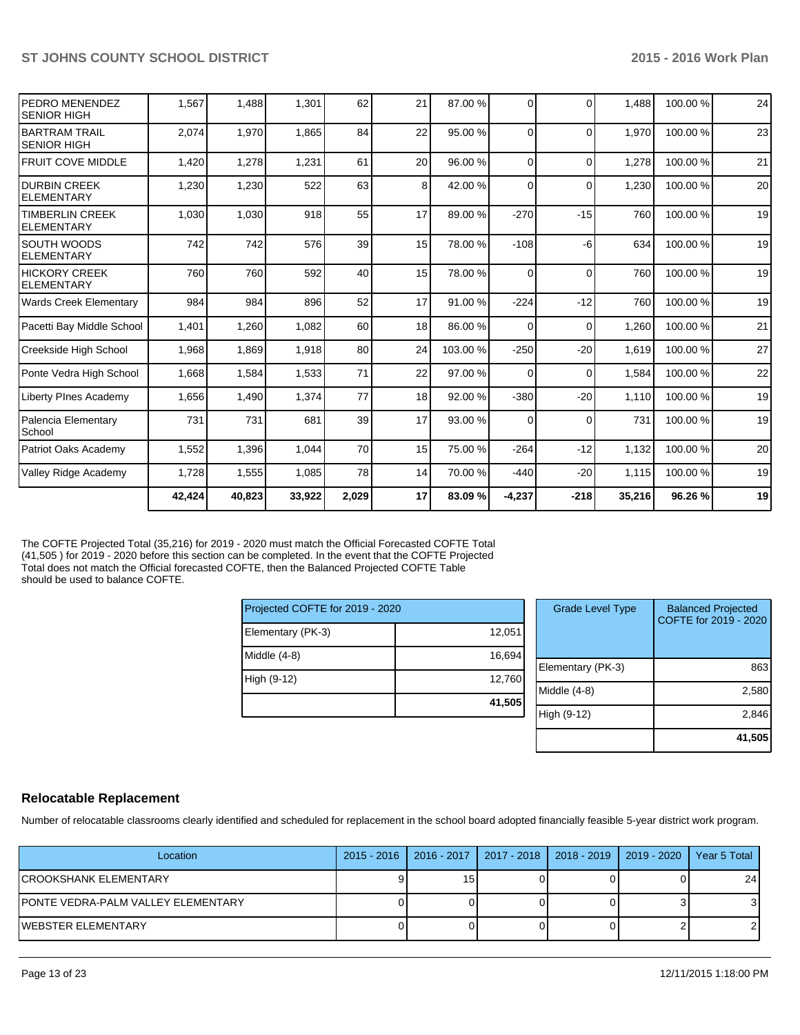| <b>PEDRO MENENDEZ</b><br><b>SENIOR HIGH</b> | 1,567  | 1,488  | 1,301  | 62    | 21              | 87.00 %  | $\Omega$ | $\Omega$ | 1,488  | 100.00% | 24 |
|---------------------------------------------|--------|--------|--------|-------|-----------------|----------|----------|----------|--------|---------|----|
| <b>BARTRAM TRAIL</b><br>ISENIOR HIGH        | 2,074  | 1,970  | 1,865  | 84    | 22              | 95.00 %  | 0        | $\Omega$ | 1.970  | 100.00% | 23 |
| <b>FRUIT COVE MIDDLE</b>                    | 1,420  | 1,278  | 1,231  | 61    | 20 <sup>1</sup> | 96.00 %  | $\Omega$ | $\Omega$ | 1,278  | 100.00% | 21 |
| <b>IDURBIN CREEK</b><br><b>ELEMENTARY</b>   | 1,230  | 1,230  | 522    | 63    | 8 <sup>1</sup>  | 42.00 %  | $\Omega$ | $\Omega$ | 1,230  | 100.00% | 20 |
| <b>TIMBERLIN CREEK</b><br><b>ELEMENTARY</b> | 1,030  | 1,030  | 918    | 55    | 17              | 89.00 %  | $-270$   | $-15$    | 760    | 100.00% | 19 |
| <b>SOUTH WOODS</b><br>IELEMENTARY           | 742    | 742    | 576    | 39    | 15              | 78.00 %  | $-108$   | -6       | 634    | 100.00% | 19 |
| <b>HICKORY CREEK</b><br><b>ELEMENTARY</b>   | 760    | 760    | 592    | 40    | 15              | 78.00 %  | $\Omega$ | $\Omega$ | 760    | 100.00% | 19 |
| <b>Wards Creek Elementary</b>               | 984    | 984    | 896    | 52    | 17              | 91.00 %  | $-224$   | $-12$    | 760    | 100.00% | 19 |
| Pacetti Bay Middle School                   | 1,401  | 1,260  | 1,082  | 60    | 18              | 86.00 %  | $\Omega$ | $\Omega$ | 1,260  | 100.00% | 21 |
| Creekside High School                       | 1,968  | 1,869  | 1,918  | 80    | 24              | 103.00 % | $-250$   | $-20$    | 1,619  | 100.00% | 27 |
| Ponte Vedra High School                     | 1,668  | 1,584  | 1,533  | 71    | 22              | 97.00 %  | $\Omega$ | $\Omega$ | 1,584  | 100.00% | 22 |
| Liberty PInes Academy                       | 1,656  | 1,490  | 1,374  | 77    | 18              | 92.00 %  | $-380$   | $-20$    | 1,110  | 100.00% | 19 |
| Palencia Elementary<br>School               | 731    | 731    | 681    | 39    | 17              | 93.00 %  | $\Omega$ | $\Omega$ | 731    | 100.00% | 19 |
| Patriot Oaks Academy                        | 1,552  | 1,396  | 1,044  | 70    | 15              | 75.00 %  | $-264$   | $-12$    | 1,132  | 100.00% | 20 |
| Valley Ridge Academy                        | 1,728  | 1,555  | 1,085  | 78    | 14              | 70.00 %  | $-440$   | $-20$    | 1,115  | 100.00% | 19 |
|                                             | 42,424 | 40,823 | 33,922 | 2,029 | 17              | 83.09 %  | $-4,237$ | $-218$   | 35,216 | 96.26%  | 19 |

The COFTE Projected Total (35,216) for 2019 - 2020 must match the Official Forecasted COFTE Total (41,505 ) for 2019 - 2020 before this section can be completed. In the event that the COFTE Projected Total does not match the Official forecasted COFTE, then the Balanced Projected COFTE Table should be used to balance COFTE.

| Projected COFTE for 2019 - 2020 |        |  |  |  |  |  |
|---------------------------------|--------|--|--|--|--|--|
| Elementary (PK-3)               | 12,051 |  |  |  |  |  |
| Middle $(4-8)$                  | 16,694 |  |  |  |  |  |
| High (9-12)                     | 12,760 |  |  |  |  |  |
|                                 | 41,505 |  |  |  |  |  |

| <b>Grade Level Type</b> | <b>Balanced Projected</b><br>COFTE for 2019 - 2020 |
|-------------------------|----------------------------------------------------|
| Elementary (PK-3)       | 863                                                |
| Middle (4-8)            | 2,580                                              |
| High (9-12)             | 2,846                                              |
|                         | 41,505                                             |

# **Relocatable Replacement**

Number of relocatable classrooms clearly identified and scheduled for replacement in the school board adopted financially feasible 5-year district work program.

| Location                           | 2015 - 2016   2016 - 2017   2017 - 2018   2018 - 2019   2019 - 2020 |  | Year 5 Total    |
|------------------------------------|---------------------------------------------------------------------|--|-----------------|
| ICROOKSHANK ELEMENTARY             | 15                                                                  |  | 24 <sub>1</sub> |
| PONTE VEDRA-PALM VALLEY ELEMENTARY |                                                                     |  |                 |
| IWEBSTER ELEMENTARY                |                                                                     |  |                 |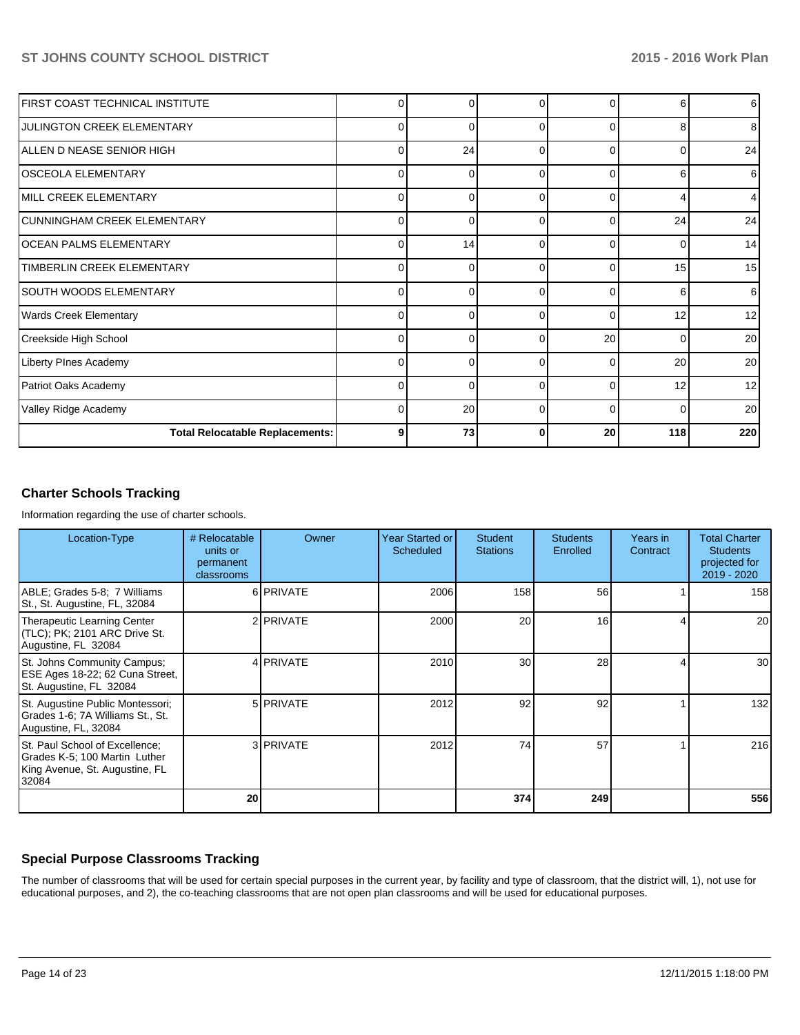| FIRST COAST TECHNICAL INSTITUTE        | 0        | 0        | 0        | 0        | 6   | $6 \mid$        |
|----------------------------------------|----------|----------|----------|----------|-----|-----------------|
| <b>JULINGTON CREEK ELEMENTARY</b>      | $\Omega$ | 0        | n        | 0        |     | 8 <sup>1</sup>  |
| IALLEN D NEASE SENIOR HIGH             | 0        | 24       | $\Omega$ | $\Omega$ |     | 24              |
| OSCEOLA ELEMENTARY                     | $\Omega$ | C        | $\Omega$ | 0        |     | 6               |
| MILL CREEK ELEMENTARY                  | 0        | 0        | $\Omega$ | $\Omega$ |     | 4               |
| CUNNINGHAM CREEK ELEMENTARY            | $\Omega$ | O        | ∩        | U        | 24  | 24              |
| OCEAN PALMS ELEMENTARY                 | 0        | 14       | $\Omega$ | $\Omega$ |     | 14              |
| TIMBERLIN CREEK ELEMENTARY             | $\Omega$ | O        | ∩        | $\Omega$ | 15  | 15 <sup>1</sup> |
| SOUTH WOODS ELEMENTARY                 | 0        | 0        | $\Omega$ | $\Omega$ | 6   | $6 \mid$        |
| <b>Wards Creek Elementary</b>          | $\Omega$ | U        | $\Omega$ | $\Omega$ | 12  | 12 <sup>1</sup> |
| Creekside High School                  | 0        | $\Omega$ | $\Omega$ | 20       |     | 20 <sup>1</sup> |
| Liberty PInes Academy                  | $\Omega$ | $\Omega$ | $\Omega$ | $\Omega$ | 20  | 20              |
| Patriot Oaks Academy                   | 0        | 0        | $\Omega$ | $\Omega$ | 12  | 12 <sup>1</sup> |
| Valley Ridge Academy                   | $\Omega$ | 20       | $\Omega$ | $\Omega$ | ∩   | 20              |
| <b>Total Relocatable Replacements:</b> | 9        | 73       | 0        | 20       | 118 | 220             |

# **Charter Schools Tracking**

Information regarding the use of charter schools.

| Location-Type                                                                                              | # Relocatable<br>units or<br>permanent<br>classrooms | Owner            | Year Started or<br>Scheduled | <b>Student</b><br><b>Stations</b> | <b>Students</b><br>Enrolled | Years in<br>Contract | <b>Total Charter</b><br><b>Students</b><br>projected for<br>2019 - 2020 |
|------------------------------------------------------------------------------------------------------------|------------------------------------------------------|------------------|------------------------------|-----------------------------------|-----------------------------|----------------------|-------------------------------------------------------------------------|
| ABLE; Grades 5-8; 7 Williams<br>St., St. Augustine, FL, 32084                                              |                                                      | 6 <b>PRIVATE</b> | 2006                         | 158                               | 56                          |                      | 158                                                                     |
| Therapeutic Learning Center<br>(TLC); PK; 2101 ARC Drive St.<br>Augustine, FL 32084                        |                                                      | 2 PRIVATE        | 2000                         | 20                                | 16                          |                      | 20 <sub>l</sub>                                                         |
| St. Johns Community Campus;<br>ESE Ages 18-22; 62 Cuna Street,<br>St. Augustine, FL 32084                  |                                                      | 4 <b>PRIVATE</b> | 2010                         | 30                                | 28                          |                      | 30 <sup>1</sup>                                                         |
| St. Augustine Public Montessori;<br>Grades 1-6; 7A Williams St., St.<br>Augustine, FL, 32084               |                                                      | 5 PRIVATE        | 2012                         | 92                                | 92                          |                      | 132                                                                     |
| St. Paul School of Excellence;<br>Grades K-5; 100 Martin Luther<br>King Avenue, St. Augustine, FL<br>32084 |                                                      | 3 PRIVATE        | 2012                         | 74                                | 57                          |                      | 216                                                                     |
|                                                                                                            | 20                                                   |                  |                              | 374                               | 249                         |                      | 556                                                                     |

# **Special Purpose Classrooms Tracking**

The number of classrooms that will be used for certain special purposes in the current year, by facility and type of classroom, that the district will, 1), not use for educational purposes, and 2), the co-teaching classrooms that are not open plan classrooms and will be used for educational purposes.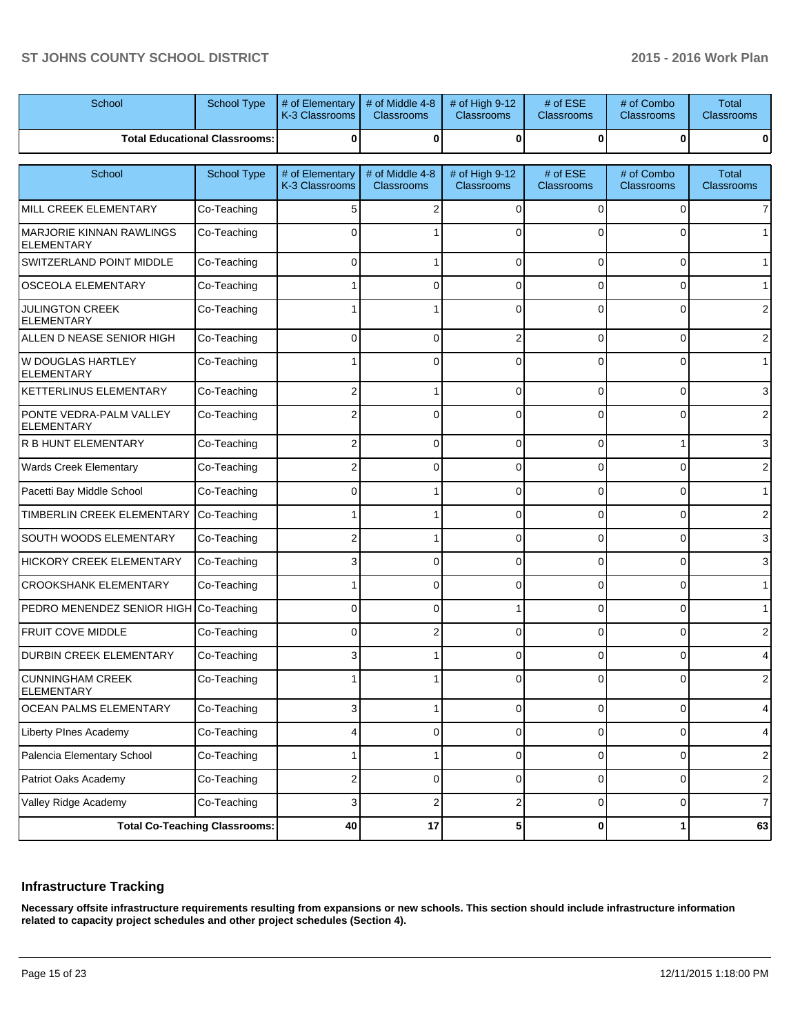| School                                               | <b>School Type</b>                   | # of Elementary<br>K-3 Classrooms | # of Middle 4-8<br>Classrooms        | # of High 9-12<br>Classrooms | # of ESE<br><b>Classrooms</b> | # of Combo<br>Classrooms | <b>Total</b><br><b>Classrooms</b> |
|------------------------------------------------------|--------------------------------------|-----------------------------------|--------------------------------------|------------------------------|-------------------------------|--------------------------|-----------------------------------|
|                                                      | <b>Total Educational Classrooms:</b> | 0                                 | $\mathbf 0$                          | 0                            | $\bf{0}$                      | 0                        | $\mathbf 0$                       |
| School                                               | School Type                          | # of Elementary<br>K-3 Classrooms | # of Middle 4-8<br><b>Classrooms</b> | # of High 9-12<br>Classrooms | # of ESE<br><b>Classrooms</b> | # of Combo<br>Classrooms | <b>Total</b><br><b>Classrooms</b> |
| MILL CREEK ELEMENTARY                                | Co-Teaching                          | 5                                 | 2                                    | 0                            | 0                             | 0                        | $\overline{7}$                    |
| <b>MARJORIE KINNAN RAWLINGS</b><br><b>ELEMENTARY</b> | Co-Teaching                          |                                   |                                      |                              |                               | 0                        | $\mathbf{1}$                      |
| SWITZERLAND POINT MIDDLE                             | Co-Teaching                          | 0                                 |                                      | $\Omega$                     | $\Omega$                      | 0                        | 1                                 |
| <b>OSCEOLA ELEMENTARY</b>                            | Co-Teaching                          |                                   | $\Omega$                             | $\Omega$                     | 0                             | 0                        | $\mathbf{1}$                      |
| <b>JULINGTON CREEK</b><br><b>ELEMENTARY</b>          | Co-Teaching                          |                                   |                                      |                              | $\Omega$                      | 0                        | $\mathbf{2}$                      |
| ALLEN D NEASE SENIOR HIGH                            | Co-Teaching                          | $\Omega$                          | $\Omega$                             | $\overline{2}$               | 0                             | $\mathbf 0$              | $\overline{c}$                    |
| <b>W DOUGLAS HARTLEY</b><br><b>ELEMENTARY</b>        | Co-Teaching                          |                                   | $\Omega$                             | $\Omega$                     | 0                             | $\mathbf 0$              | $\mathbf{1}$                      |
| <b>KETTERLINUS ELEMENTARY</b>                        | Co-Teaching                          | 2                                 |                                      | $\Omega$                     | 0                             | $\mathbf 0$              | 3                                 |
| PONTE VEDRA-PALM VALLEY<br><b>ELEMENTARY</b>         | Co-Teaching                          |                                   | $\Omega$                             | $\Omega$                     | 0                             | 0                        | $\sqrt{2}$                        |
| R B HUNT ELEMENTARY                                  | Co-Teaching                          | 2                                 | 0                                    | $\Omega$                     | 0                             | 1                        | 3                                 |
| <b>Wards Creek Elementary</b>                        | Co-Teaching                          |                                   | 0                                    | $\Omega$                     | 0                             | 0                        | $\overline{c}$                    |
| Pacetti Bay Middle School                            | Co-Teaching                          | 0                                 |                                      | $\Omega$                     | 0                             | 0                        | $\mathbf{1}$                      |
| <b>TIMBERLIN CREEK ELEMENTARY</b>                    | Co-Teaching                          |                                   |                                      | C                            | 0                             | 0                        | 2                                 |
| <b>SOUTH WOODS ELEMENTARY</b>                        | Co-Teaching                          |                                   |                                      | 0                            | 0                             | 0                        | 3                                 |
| <b>HICKORY CREEK ELEMENTARY</b>                      | Co-Teaching                          |                                   | 0                                    | C                            | 0                             | 0                        | 3                                 |
| <b>CROOKSHANK ELEMENTARY</b>                         | Co-Teaching                          |                                   | 0                                    | 0                            | 0                             | 0                        | 1                                 |
| PEDRO MENENDEZ SENIOR HIGH                           | Co-Teaching                          | 0                                 | 0                                    |                              | 0                             | 0                        | 1                                 |
| <b>FRUIT COVE MIDDLE</b>                             | Co-Teaching                          | 0                                 | 2                                    | $\Omega$                     | 0                             | 0                        | 2                                 |
| <b>DURBIN CREEK ELEMENTARY</b>                       | Co-Teaching                          |                                   |                                      | 0                            | 0                             | 0                        | 4                                 |
| <b>CUNNINGHAM CREEK</b><br><b>ELEMENTARY</b>         | Co-Teaching                          |                                   |                                      |                              |                               | 0                        | 2                                 |
| OCEAN PALMS ELEMENTARY                               | Co-Teaching                          | 3 <sup>1</sup>                    |                                      | 0                            | $\overline{0}$                | $\mathbf 0$              | 4                                 |
| Liberty PInes Academy                                | Co-Teaching                          | 4                                 | $\mathbf 0$                          | 0                            | $\overline{0}$                | $\mathbf 0$              | 4                                 |
| Palencia Elementary School                           | Co-Teaching                          |                                   |                                      | 0                            | $\overline{0}$                | $\mathbf 0$              | 2                                 |
| Patriot Oaks Academy                                 | Co-Teaching                          | 2                                 | $\mathbf 0$                          | 0                            | $\overline{0}$                | $\mathbf 0$              | 2                                 |
| Valley Ridge Academy                                 | Co-Teaching                          | 3                                 | 2                                    | 2                            | 0                             | $\mathbf 0$              | $\overline{7}$                    |
|                                                      | <b>Total Co-Teaching Classrooms:</b> | 40                                | 17                                   | 5                            | 0                             | 1                        | 63                                |

# **Infrastructure Tracking**

**Necessary offsite infrastructure requirements resulting from expansions or new schools. This section should include infrastructure information related to capacity project schedules and other project schedules (Section 4).**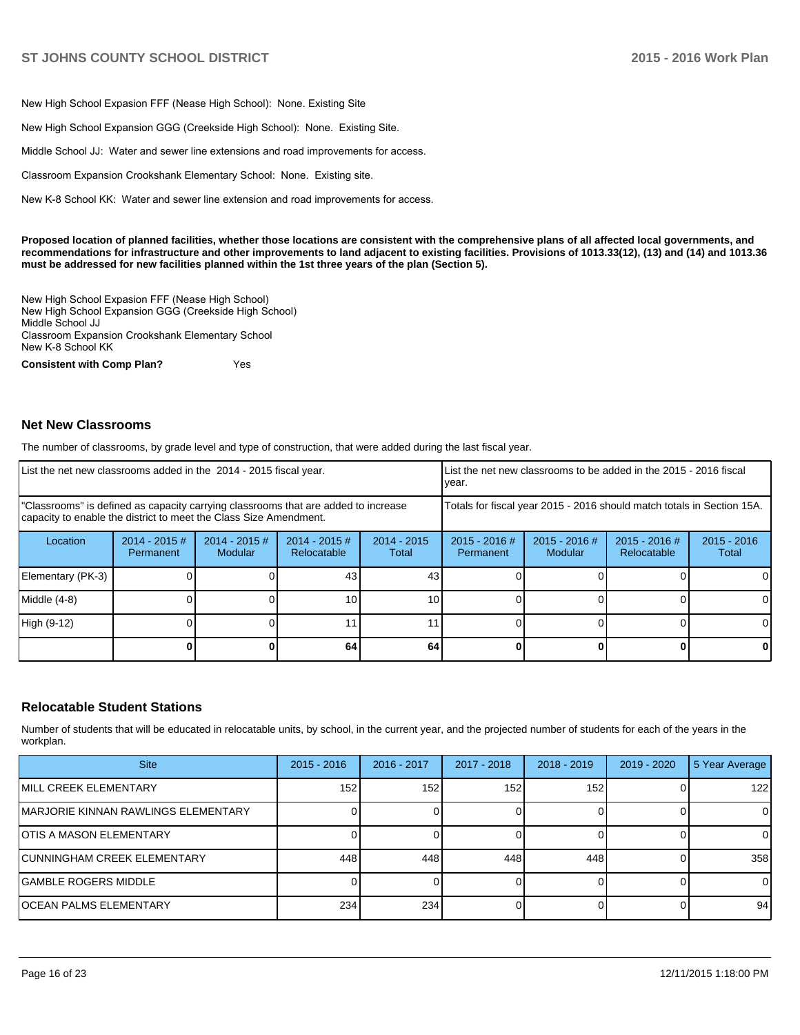New High School Expasion FFF (Nease High School): None, Existing Site

New High School Expansion GGG (Creekside High School): None. Existing Site.

Middle School JJ: Water and sewer line extensions and road improvements for access.

Classroom Expansion Crookshank Elementary School: None. Existing site.

New K-8 School KK: Water and sewer line extension and road improvements for access.

**Proposed location of planned facilities, whether those locations are consistent with the comprehensive plans of all affected local governments, and recommendations for infrastructure and other improvements to land adjacent to existing facilities. Provisions of 1013.33(12), (13) and (14) and 1013.36 must be addressed for new facilities planned within the 1st three years of the plan (Section 5).**

New High School Expasion FFF (Nease High School) New High School Expansion GGG (Creekside High School) Middle School JJ Classroom Expansion Crookshank Elementary School New K-8 School KK

**Consistent with Comp Plan?** Yes

### **Net New Classrooms**

The number of classrooms, by grade level and type of construction, that were added during the last fiscal year.

| List the net new classrooms added in the 2014 - 2015 fiscal year.                                                                                       | Llist the net new classrooms to be added in the 2015 - 2016 fiscal<br>vear. |                                   |                                |                        |                                                                        |                                 |                                |                        |
|---------------------------------------------------------------------------------------------------------------------------------------------------------|-----------------------------------------------------------------------------|-----------------------------------|--------------------------------|------------------------|------------------------------------------------------------------------|---------------------------------|--------------------------------|------------------------|
| "Classrooms" is defined as capacity carrying classrooms that are added to increase<br>capacity to enable the district to meet the Class Size Amendment. |                                                                             |                                   |                                |                        | Totals for fiscal year 2015 - 2016 should match totals in Section 15A. |                                 |                                |                        |
| Location                                                                                                                                                | $2014 - 2015 \#$<br>Permanent                                               | $2014 - 2015$ #<br><b>Modular</b> | $2014 - 2015$ #<br>Relocatable | $2014 - 2015$<br>Total | $2015 - 2016$ #<br>Permanent                                           | 2015 - 2016 #<br><b>Modular</b> | $2015 - 2016$ #<br>Relocatable | $2015 - 2016$<br>Total |
| Elementary (PK-3)                                                                                                                                       |                                                                             |                                   | 43                             | 43                     |                                                                        |                                 |                                | $\Omega$               |
| Middle (4-8)                                                                                                                                            |                                                                             |                                   | 10                             | 10 <sup>1</sup>        |                                                                        |                                 |                                | 0                      |
| High (9-12)                                                                                                                                             |                                                                             |                                   |                                |                        |                                                                        |                                 |                                | 0                      |
|                                                                                                                                                         |                                                                             |                                   | 64                             | 64                     |                                                                        |                                 |                                | 0                      |

## **Relocatable Student Stations**

Number of students that will be educated in relocatable units, by school, in the current year, and the projected number of students for each of the years in the workplan.

| <b>Site</b>                          | $2015 - 2016$    | 2016 - 2017 | 2017 - 2018 | $2018 - 2019$ | $2019 - 2020$ | 5 Year Average |
|--------------------------------------|------------------|-------------|-------------|---------------|---------------|----------------|
| <b>IMILL CREEK ELEMENTARY</b>        | 152 <sub>1</sub> | 152         | 152         | 152.          |               | 122            |
| IMARJORIE KINNAN RAWLINGS ELEMENTARY |                  |             |             |               |               | ΟI             |
| <b>IOTIS A MASON ELEMENTARY</b>      |                  |             |             |               |               |                |
| <b>CUNNINGHAM CREEK ELEMENTARY</b>   | 448              | 448         | 448         | 448           |               | 358            |
| IGAMBLE ROGERS MIDDLE                |                  |             |             |               |               | 0              |
| <b>IOCEAN PALMS ELEMENTARY</b>       | 234              | 234         |             |               |               | 94             |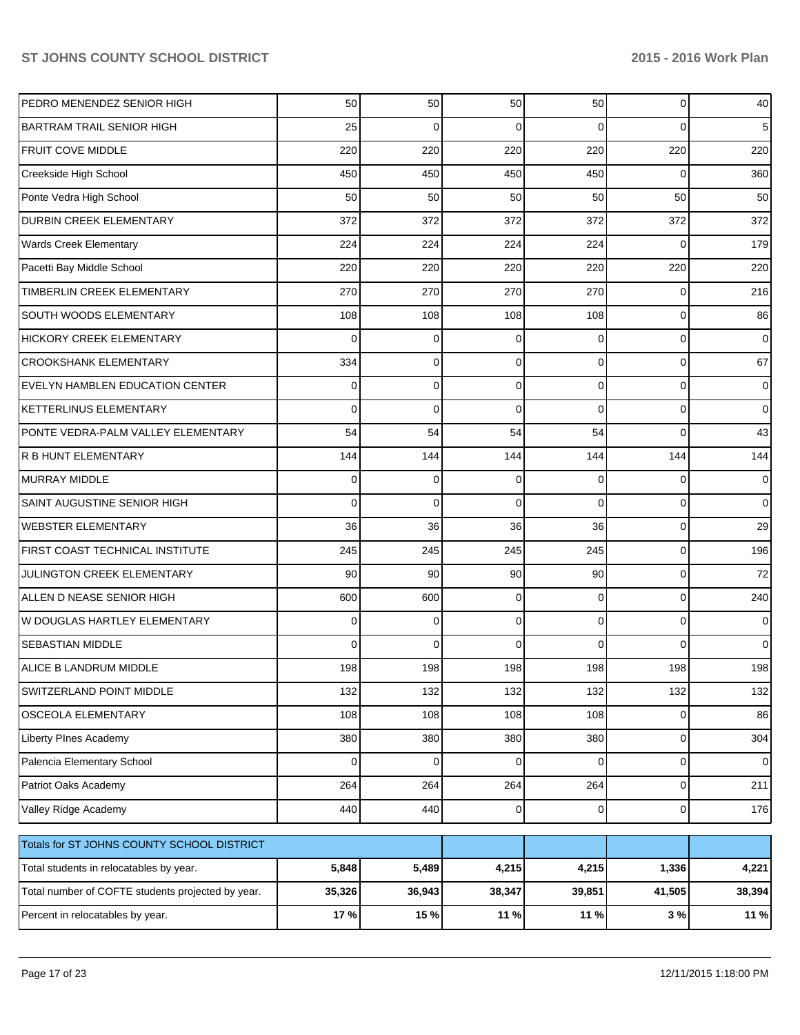| PEDRO MENENDEZ SENIOR HIGH                        | 50       | 50       | 50          | 50          | 0              | 40             |
|---------------------------------------------------|----------|----------|-------------|-------------|----------------|----------------|
| <b>BARTRAM TRAIL SENIOR HIGH</b>                  | 25       | $\Omega$ | $\Omega$    | $\Omega$    | $\Omega$       | 5              |
| <b>FRUIT COVE MIDDLE</b>                          | 220      | 220      | 220         | 220         | 220            | 220            |
| Creekside High School                             | 450      | 450      | 450         | 450         | $\Omega$       | 360            |
| Ponte Vedra High School                           | 50       | 50       | 50          | 50          | 50             | 50             |
| <b>DURBIN CREEK ELEMENTARY</b>                    | 372      | 372      | 372         | 372         | 372            | 372            |
| <b>Wards Creek Elementary</b>                     | 224      | 224      | 224         | 224         | $\Omega$       | 179            |
| Pacetti Bay Middle School                         | 220      | 220      | 220         | 220         | 220            | 220            |
| <b>TIMBERLIN CREEK ELEMENTARY</b>                 | 270      | 270      | 270         | 270         | $\Omega$       | 216            |
| SOUTH WOODS ELEMENTARY                            | 108      | 108      | 108         | 108         | 0              | 86             |
| <b>HICKORY CREEK ELEMENTARY</b>                   | $\Omega$ | 0        | $\Omega$    | $\Omega$    | $\Omega$       | 0              |
| <b>CROOKSHANK ELEMENTARY</b>                      | 334      | $\Omega$ | $\Omega$    | $\Omega$    | $\Omega$       | 67             |
| EVELYN HAMBLEN EDUCATION CENTER                   | $\Omega$ | $\Omega$ | $\Omega$    | $\Omega$    | $\Omega$       | 0              |
| <b>KETTERLINUS ELEMENTARY</b>                     | $\Omega$ | $\Omega$ | $\Omega$    | $\Omega$    | $\Omega$       | 0              |
| PONTE VEDRA-PALM VALLEY ELEMENTARY                | 54       | 54       | 54          | 54          | $\Omega$       | 43             |
| <b>R B HUNT ELEMENTARY</b>                        | 144      | 144      | 144         | 144         | 144            | 144            |
| <b>MURRAY MIDDLE</b>                              | $\Omega$ | $\Omega$ | $\Omega$    | $\Omega$    | $\Omega$       | 0              |
| SAINT AUGUSTINE SENIOR HIGH                       | $\Omega$ | $\Omega$ | $\Omega$    | $\Omega$    | $\Omega$       | $\Omega$       |
| <b>WEBSTER ELEMENTARY</b>                         | 36       | 36       | 36          | 36          | 0              | 29             |
| FIRST COAST TECHNICAL INSTITUTE                   | 245      | 245      | 245         | 245         | 0              | 196            |
| JULINGTON CREEK ELEMENTARY                        | 90       | 90       | 90          | 90          | 0              | 72             |
| ALLEN D NEASE SENIOR HIGH                         | 600      | 600      | $\Omega$    | $\Omega$    | $\Omega$       | 240            |
| W DOUGLAS HARTLEY ELEMENTARY                      | $\Omega$ | $\Omega$ | $\Omega$    | $\Omega$    | $\Omega$       | 0              |
| <b>SEBASTIAN MIDDLE</b>                           | $\Omega$ | $\Omega$ | 0           | $\Omega$    | $\Omega$       | $\Omega$       |
| ALICE B LANDRUM MIDDLE                            | 198      | 198      | 198         | 198         | 198            | 198            |
| SWITZERLAND POINT MIDDLE                          | 132      | 132      | 132         | 132         | 132            | 132            |
| OSCEOLA ELEMENTARY                                | 108      | 108      | 108         | 108         | 0              | 86             |
| Liberty PInes Academy                             | 380      | 380      | 380         | 380         | 0              | 304            |
| Palencia Elementary School                        | $\Omega$ | $\Omega$ | $\mathbf 0$ | $\Omega$    | 0              | $\overline{0}$ |
| Patriot Oaks Academy                              | 264      | 264      | 264         | 264         | 0              | 211            |
| Valley Ridge Academy                              | 440      | 440      | 0           | $\mathbf 0$ | $\overline{0}$ | 176            |
| Totals for ST JOHNS COUNTY SCHOOL DISTRICT        |          |          |             |             |                |                |
| Total students in relocatables by year.           | 5,848    | 5,489    | 4,215       | 4,215       | 1,336          | 4,221          |
| Total number of COFTE students projected by year. | 35,326   | 36,943   | 38,347      | 39,851      | 41,505         | 38,394         |
| Percent in relocatables by year.                  | 17 %     | 15 %     | 11 %        | 11 %        | $3\%$          | 11 %           |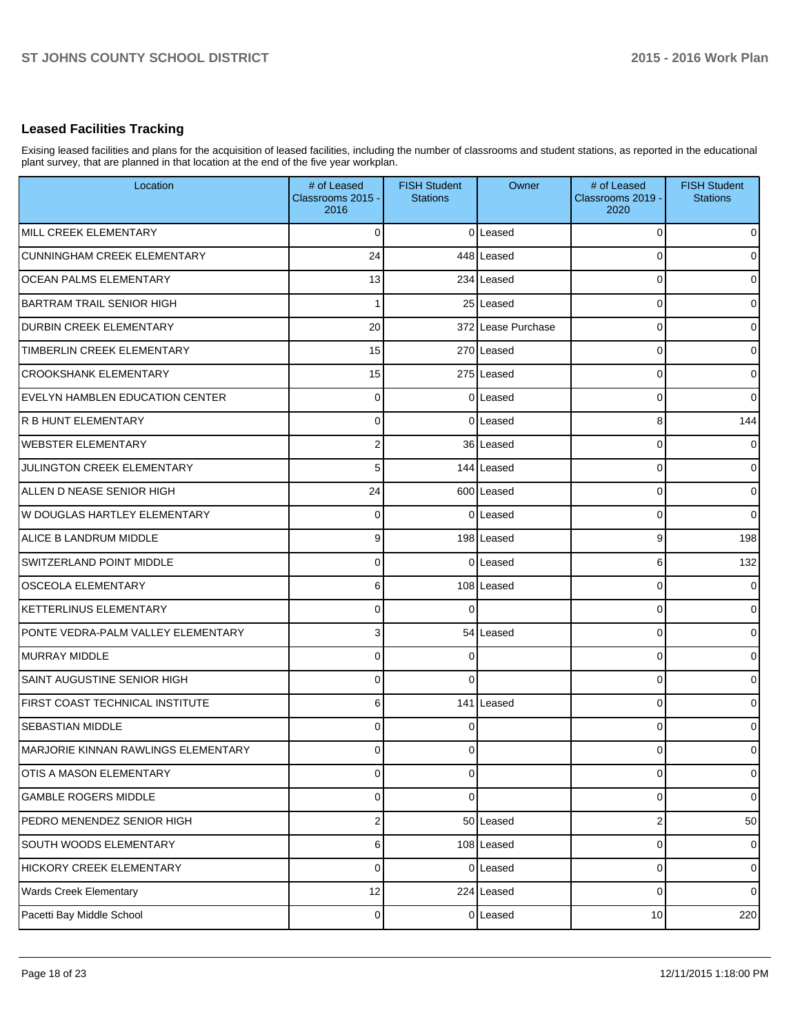# **Leased Facilities Tracking**

Exising leased facilities and plans for the acquisition of leased facilities, including the number of classrooms and student stations, as reported in the educational plant survey, that are planned in that location at the end of the five year workplan.

| Location                               | # of Leased<br>Classrooms 2015 -<br>2016 | <b>FISH Student</b><br><b>Stations</b> | Owner              | # of Leased<br>Classrooms 2019 -<br>2020 | <b>FISH Student</b><br><b>Stations</b> |
|----------------------------------------|------------------------------------------|----------------------------------------|--------------------|------------------------------------------|----------------------------------------|
| MILL CREEK ELEMENTARY                  | $\Omega$                                 |                                        | 0 Leased           | $\Omega$                                 | $\Omega$                               |
| <b>CUNNINGHAM CREEK ELEMENTARY</b>     | 24                                       |                                        | 448 Leased         | C                                        | $\Omega$                               |
| <b>OCEAN PALMS ELEMENTARY</b>          | 13                                       |                                        | 234 Leased         | 0                                        | $\Omega$                               |
| <b>BARTRAM TRAIL SENIOR HIGH</b>       |                                          |                                        | 25 Leased          | 0                                        | $\overline{0}$                         |
| <b>DURBIN CREEK ELEMENTARY</b>         | 20                                       |                                        | 372 Lease Purchase | 0                                        | $\Omega$                               |
| TIMBERLIN CREEK ELEMENTARY             | 15                                       |                                        | 270 Leased         | 0                                        | $\overline{0}$                         |
| <b>CROOKSHANK ELEMENTARY</b>           | 15                                       |                                        | 275 Leased         | 0                                        | $\Omega$                               |
| <b>EVELYN HAMBLEN EDUCATION CENTER</b> | $\Omega$                                 |                                        | 0 Leased           | 0                                        | $\overline{0}$                         |
| R B HUNT ELEMENTARY                    | $\Omega$                                 |                                        | 0 Leased           | 8                                        | 144                                    |
| <b>WEBSTER ELEMENTARY</b>              | $\overline{2}$                           |                                        | 36 Leased          | 0                                        | $\overline{0}$                         |
| <b>JULINGTON CREEK ELEMENTARY</b>      | 5                                        |                                        | 144 Leased         | 0                                        | $\Omega$                               |
| ALLEN D NEASE SENIOR HIGH              | 24                                       |                                        | 600 Leased         | C                                        | $\overline{0}$                         |
| W DOUGLAS HARTLEY ELEMENTARY           | $\Omega$                                 |                                        | 0 Leased           | 0                                        | $\Omega$                               |
| ALICE B LANDRUM MIDDLE                 | 9                                        |                                        | 198 Leased         | 9                                        | 198                                    |
| SWITZERLAND POINT MIDDLE               | $\Omega$                                 |                                        | 0 Leased           | 6                                        | 132                                    |
| <b>OSCEOLA ELEMENTARY</b>              | 6                                        |                                        | 108 Leased         | 0                                        | $\Omega$                               |
| <b>KETTERLINUS ELEMENTARY</b>          | $\Omega$                                 |                                        |                    | 0                                        | $\Omega$                               |
| PONTE VEDRA-PALM VALLEY ELEMENTARY     | 3                                        |                                        | 54 Leased          | C                                        | $\Omega$                               |
| MURRAY MIDDLE                          | $\Omega$                                 |                                        |                    | 0                                        | $\Omega$                               |
| SAINT AUGUSTINE SENIOR HIGH            | $\Omega$                                 | $\Omega$                               |                    | 0                                        | $\overline{0}$                         |
| <b>FIRST COAST TECHNICAL INSTITUTE</b> | 6                                        |                                        | 141 Leased         | 0                                        | $\Omega$                               |
| <b>SEBASTIAN MIDDLE</b>                | $\Omega$                                 | $\Omega$                               |                    | 0                                        | $\Omega$                               |
| MARJORIE KINNAN RAWLINGS ELEMENTARY    | O                                        |                                        |                    |                                          | 0                                      |
| OTIS A MASON ELEMENTARY                | $\overline{0}$                           | $\overline{0}$                         |                    | 0                                        | $\overline{0}$                         |
| <b>GAMBLE ROGERS MIDDLE</b>            | $\mathbf 0$                              | $\Omega$                               |                    | 0                                        | $\overline{0}$                         |
| PEDRO MENENDEZ SENIOR HIGH             | $\mathbf 2$                              |                                        | 50 Leased          | 2                                        | 50                                     |
| SOUTH WOODS ELEMENTARY                 | 6                                        |                                        | 108 Leased         | $\mathbf 0$                              | $\overline{0}$                         |
| HICKORY CREEK ELEMENTARY               | 0                                        |                                        | 0 Leased           | 0                                        | $\overline{0}$                         |
| <b>Wards Creek Elementary</b>          | 12                                       |                                        | 224 Leased         | 0                                        | $\overline{0}$                         |
| Pacetti Bay Middle School              | $\mathbf 0$                              |                                        | 0 Leased           | 10                                       | 220                                    |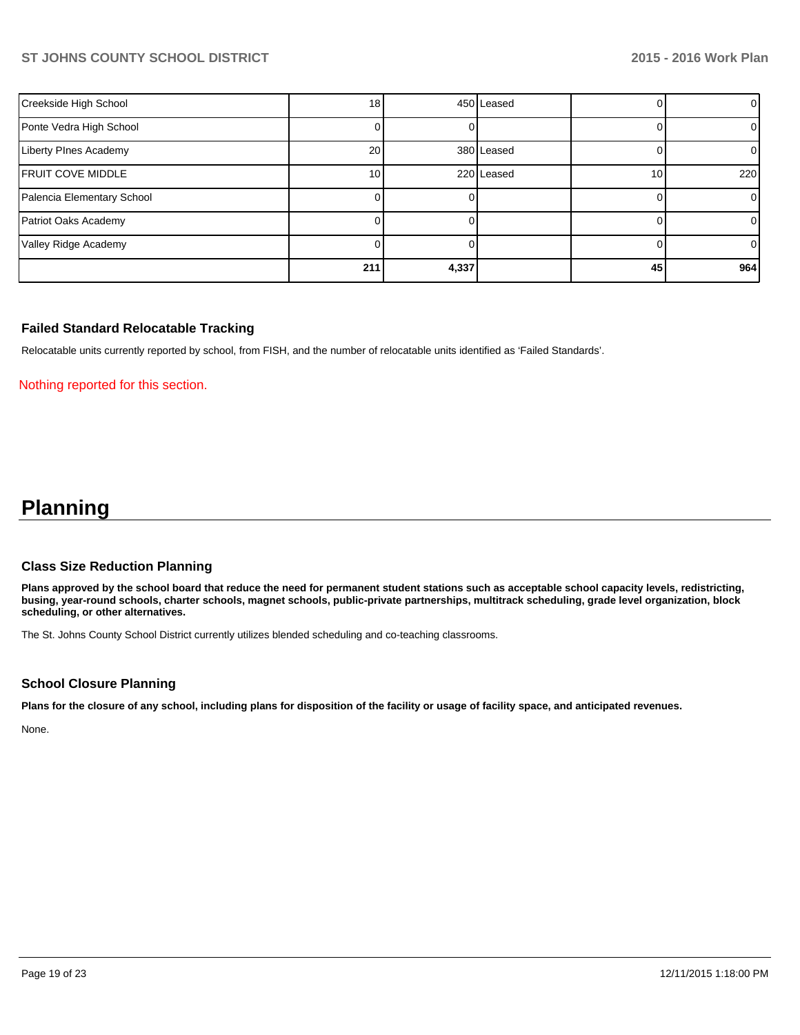| Creekside High School      | 18              |       | 450 Leased |                 | $\overline{0}$ |
|----------------------------|-----------------|-------|------------|-----------------|----------------|
| Ponte Vedra High School    |                 |       |            |                 |                |
| Liberty PInes Academy      | 20 <sub>1</sub> |       | 380 Leased |                 | $\Omega$       |
| <b>FRUIT COVE MIDDLE</b>   | 10 <sup>1</sup> |       | 220 Leased | 10 <sub>1</sub> | 220            |
| Palencia Elementary School |                 |       |            |                 | 01             |
| Patriot Oaks Academy       |                 |       |            |                 | $\Omega$       |
| Valley Ridge Academy       |                 |       |            |                 | $\overline{0}$ |
|                            | 211             | 4,337 |            | 45              | 964            |

## **Failed Standard Relocatable Tracking**

Relocatable units currently reported by school, from FISH, and the number of relocatable units identified as 'Failed Standards'.

### Nothing reported for this section.

# **Planning**

#### **Class Size Reduction Planning**

**Plans approved by the school board that reduce the need for permanent student stations such as acceptable school capacity levels, redistricting, busing, year-round schools, charter schools, magnet schools, public-private partnerships, multitrack scheduling, grade level organization, block scheduling, or other alternatives.**

The St. Johns County School District currently utilizes blended scheduling and co-teaching classrooms.

## **School Closure Planning**

**Plans for the closure of any school, including plans for disposition of the facility or usage of facility space, and anticipated revenues.**

None.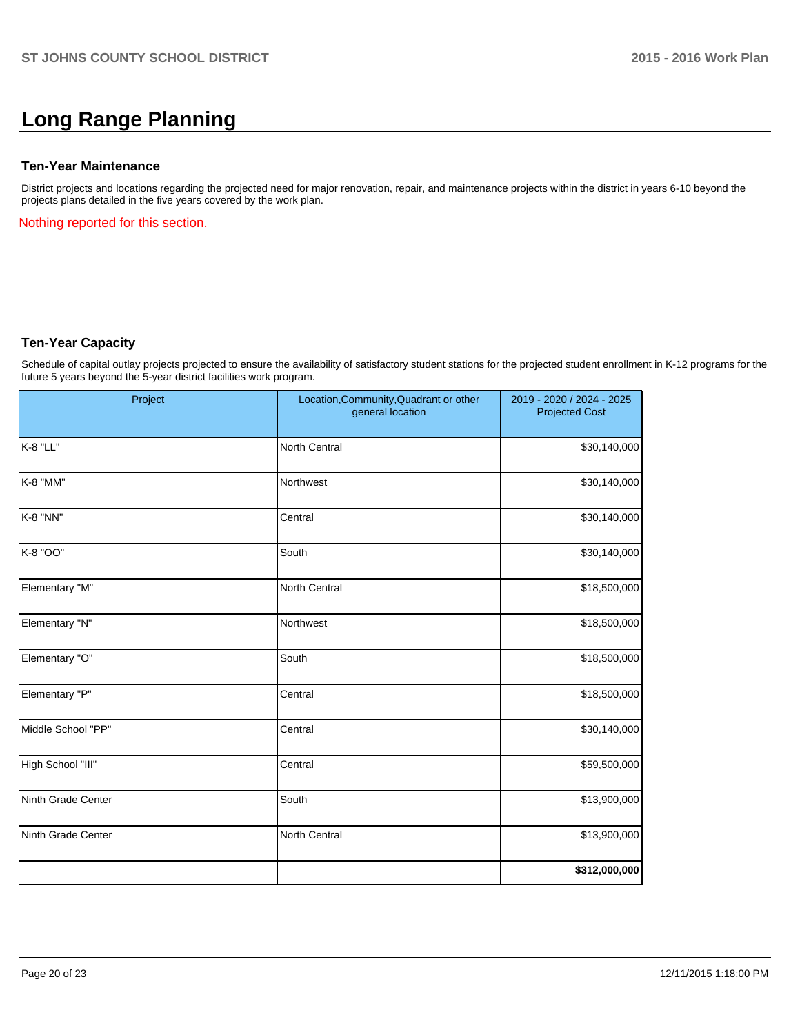# **Long Range Planning**

## **Ten-Year Maintenance**

District projects and locations regarding the projected need for major renovation, repair, and maintenance projects within the district in years 6-10 beyond the projects plans detailed in the five years covered by the work plan.

Nothing reported for this section.

## **Ten-Year Capacity**

Schedule of capital outlay projects projected to ensure the availability of satisfactory student stations for the projected student enrollment in K-12 programs for the future 5 years beyond the 5-year district facilities work program.

| Project            | Location, Community, Quadrant or other<br>general location | 2019 - 2020 / 2024 - 2025<br><b>Projected Cost</b> |
|--------------------|------------------------------------------------------------|----------------------------------------------------|
| K-8 "LL"           | North Central                                              | \$30,140,000                                       |
| K-8 "MM"           | Northwest                                                  | \$30,140,000                                       |
| K-8 "NN"           | Central                                                    | \$30,140,000                                       |
| K-8 "OO"           | South                                                      | \$30,140,000                                       |
| Elementary "M"     | North Central                                              | \$18,500,000                                       |
| Elementary "N"     | Northwest                                                  | \$18,500,000                                       |
| Elementary "O"     | South                                                      | \$18,500,000                                       |
| Elementary "P"     | Central                                                    | \$18,500,000                                       |
| Middle School "PP" | Central                                                    | \$30,140,000                                       |
| High School "III"  | Central                                                    | \$59,500,000                                       |
| Ninth Grade Center | South                                                      | \$13,900,000                                       |
| Ninth Grade Center | North Central                                              | \$13,900,000                                       |
|                    |                                                            | \$312,000,000                                      |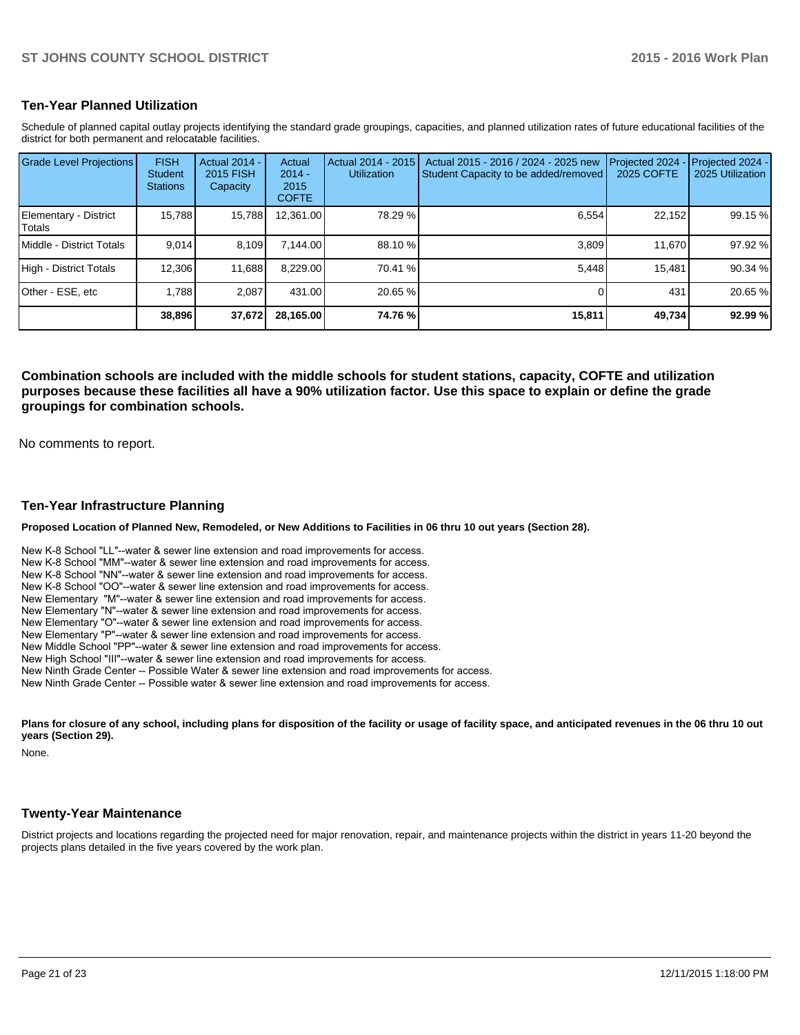## **Ten-Year Planned Utilization**

Schedule of planned capital outlay projects identifying the standard grade groupings, capacities, and planned utilization rates of future educational facilities of the district for both permanent and relocatable facilities.

| <b>Grade Level Projections</b>   | <b>FISH</b><br><b>Student</b><br><b>Stations</b> | <b>Actual 2014 -</b><br>2015 FISH<br>Capacity | Actual<br>$2014 -$<br>2015<br><b>COFTE</b> | Actual 2014 - 2015<br><b>Utilization</b> | Actual 2015 - 2016 / 2024 - 2025 new<br>Student Capacity to be added/removed | Projected 2024<br><b>2025 COFTE</b> | Projected 2024 -<br>2025 Utilization |
|----------------------------------|--------------------------------------------------|-----------------------------------------------|--------------------------------------------|------------------------------------------|------------------------------------------------------------------------------|-------------------------------------|--------------------------------------|
| Elementary - District<br> Totals | 15,788                                           | 15,788                                        | 12,361.00                                  | 78.29 %                                  | 6,554                                                                        | 22,152                              | 99.15 %                              |
| <b>IMiddle - District Totals</b> | 9.014                                            | 8.109                                         | 7.144.00                                   | 88.10 %                                  | 3.809                                                                        | 11.670                              | 97.92 %                              |
| High - District Totals           | 12,306                                           | 11,688                                        | 8,229.00                                   | 70.41 %                                  | 5.448                                                                        | 15,481                              | 90.34 %                              |
| IOther - ESE. etc                | 1.788                                            | 2.087                                         | 431.00                                     | 20.65 %                                  |                                                                              | 431                                 | 20.65 %                              |
|                                  | 38,896                                           | 37,672                                        | 28,165.00                                  | 74.76 %                                  | 15,811                                                                       | 49,734                              | 92.99 %                              |

**Combination schools are included with the middle schools for student stations, capacity, COFTE and utilization purposes because these facilities all have a 90% utilization factor. Use this space to explain or define the grade groupings for combination schools.**

No comments to report.

### **Ten-Year Infrastructure Planning**

**Proposed Location of Planned New, Remodeled, or New Additions to Facilities in 06 thru 10 out years (Section 28).**

New K-8 School "LL"--water & sewer line extension and road improvements for access. New K-8 School "MM"--water & sewer line extension and road improvements for access. New K-8 School "NN"--water & sewer line extension and road improvements for access. New K-8 School "OO"--water & sewer line extension and road improvements for access. New Elementary "M"--water & sewer line extension and road improvements for access. New Elementary "N"--water & sewer line extension and road improvements for access. New Elementary "O"--water & sewer line extension and road improvements for access. New Elementary "P"--water & sewer line extension and road improvements for access. New Middle School "PP"--water & sewer line extension and road improvements for access. New High School "III"--water & sewer line extension and road improvements for access. New Ninth Grade Center -- Possible Water & sewer line extension and road improvements for access. New Ninth Grade Center -- Possible water & sewer line extension and road improvements for access.

Plans for closure of any school, including plans for disposition of the facility or usage of facility space, and anticipated revenues in the 06 thru 10 out **years (Section 29).**

None.

## **Twenty-Year Maintenance**

District projects and locations regarding the projected need for major renovation, repair, and maintenance projects within the district in years 11-20 beyond the projects plans detailed in the five years covered by the work plan.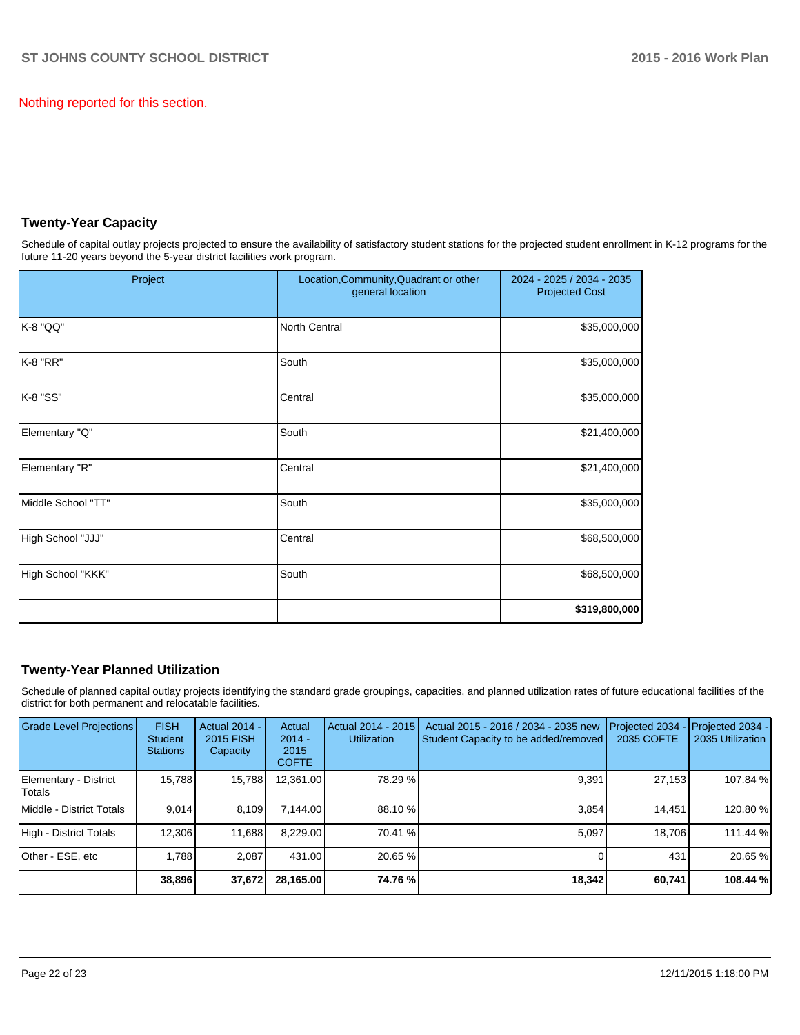Nothing reported for this section.

# **Twenty-Year Capacity**

Schedule of capital outlay projects projected to ensure the availability of satisfactory student stations for the projected student enrollment in K-12 programs for the future 11-20 years beyond the 5-year district facilities work program.

| Project            | Location, Community, Quadrant or other<br>general location | 2024 - 2025 / 2034 - 2035<br><b>Projected Cost</b> |
|--------------------|------------------------------------------------------------|----------------------------------------------------|
| K-8 "QQ"           | North Central                                              | \$35,000,000                                       |
| K-8 "RR"           | South                                                      | \$35,000,000                                       |
| K-8 "SS"           | Central                                                    | \$35,000,000                                       |
| Elementary "Q"     | South                                                      | \$21,400,000                                       |
| Elementary "R"     | Central                                                    | \$21,400,000                                       |
| Middle School "TT" | South                                                      | \$35,000,000                                       |
| High School "JJJ"  | Central                                                    | \$68,500,000                                       |
| High School "KKK"  | South                                                      | \$68,500,000                                       |
|                    |                                                            | \$319,800,000                                      |

# **Twenty-Year Planned Utilization**

Schedule of planned capital outlay projects identifying the standard grade groupings, capacities, and planned utilization rates of future educational facilities of the district for both permanent and relocatable facilities.

| <b>Grade Level Projections</b>    | <b>FISH</b><br><b>Student</b><br><b>Stations</b> | <b>Actual 2014 -</b><br><b>2015 FISH</b><br>Capacity | Actual<br>$2014 -$<br>2015<br><b>COFTE</b> | Actual 2014 - 2015<br><b>Utilization</b> | Actual 2015 - 2016 / 2034 - 2035 new<br>Student Capacity to be added/removed | Projected 2034<br>2035 COFTE | Projected 2034 -<br>2035 Utilization |
|-----------------------------------|--------------------------------------------------|------------------------------------------------------|--------------------------------------------|------------------------------------------|------------------------------------------------------------------------------|------------------------------|--------------------------------------|
| Elementary - District<br>l Totals | 15.788                                           | 15,788                                               | 12,361.00                                  | 78.29 %                                  | 9,391                                                                        | 27,153                       | 107.84 %                             |
| Middle - District Totals          | 9.014                                            | 8.109                                                | 7.144.00                                   | 88.10 %                                  | 3.854                                                                        | 14.451                       | 120.80%                              |
| High - District Totals            | 12,306                                           | 11,688                                               | 8,229.00                                   | 70.41 %                                  | 5.097                                                                        | 18.706                       | 111.44 %                             |
| Other - ESE, etc                  | 1.788                                            | 2.087                                                | 431.00                                     | 20.65 %                                  |                                                                              | 431                          | 20.65 %                              |
|                                   | 38,896                                           | 37,672                                               | 28,165.00                                  | 74.76 %                                  | 18,342                                                                       | 60,741                       | 108.44 %                             |